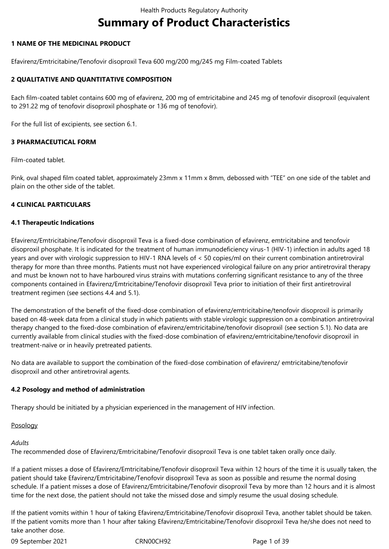# **Summary of Product Characteristics**

## **1 NAME OF THE MEDICINAL PRODUCT**

Efavirenz/Emtricitabine/Tenofovir disoproxil Teva 600 mg/200 mg/245 mg Film-coated Tablets

## **2 QUALITATIVE AND QUANTITATIVE COMPOSITION**

Each film-coated tablet contains 600 mg of efavirenz, 200 mg of emtricitabine and 245 mg of tenofovir disoproxil (equivalent to 291.22 mg of tenofovir disoproxil phosphate or 136 mg of tenofovir).

For the full list of excipients, see section 6.1.

## **3 PHARMACEUTICAL FORM**

Film-coated tablet.

Pink, oval shaped film coated tablet, approximately 23mm x 11mm x 8mm, debossed with "TEE" on one side of the tablet and plain on the other side of the tablet.

## **4 CLINICAL PARTICULARS**

## **4.1 Therapeutic Indications**

Efavirenz/Emtricitabine/Tenofovir disoproxil Teva is a fixed-dose combination of efavirenz, emtricitabine and tenofovir disoproxil phosphate. It is indicated for the treatment of human immunodeficiency virus-1 (HIV-1) infection in adults aged 18 years and over with virologic suppression to HIV-1 RNA levels of < 50 copies/ml on their current combination antiretroviral therapy for more than three months. Patients must not have experienced virological failure on any prior antiretroviral therapy and must be known not to have harboured virus strains with mutations conferring significant resistance to any of the three components contained in Efavirenz/Emtricitabine/Tenofovir disoproxil Teva prior to initiation of their first antiretroviral treatment regimen (see sections 4.4 and 5.1).

The demonstration of the benefit of the fixed-dose combination of efavirenz/emtricitabine/tenofovir disoproxil is primarily based on 48-week data from a clinical study in which patients with stable virologic suppression on a combination antiretroviral therapy changed to the fixed-dose combination of efavirenz/emtricitabine/tenofovir disoproxil (see section 5.1). No data are currently available from clinical studies with the fixed-dose combination of efavirenz/emtricitabine/tenofovir disoproxil in treatment-naïve or in heavily pretreated patients.

No data are available to support the combination of the fixed-dose combination of efavirenz/ emtricitabine/tenofovir disoproxil and other antiretroviral agents.

## **4.2 Posology and method of administration**

Therapy should be initiated by a physician experienced in the management of HIV infection.

# Posology

# *Adults*

The recommended dose of Efavirenz/Emtricitabine/Tenofovir disoproxil Teva is one tablet taken orally once daily.

If a patient misses a dose of Efavirenz/Emtricitabine/Tenofovir disoproxil Teva within 12 hours of the time it is usually taken, the patient should take Efavirenz/Emtricitabine/Tenofovir disoproxil Teva as soon as possible and resume the normal dosing schedule. If a patient misses a dose of Efavirenz/Emtricitabine/Tenofovir disoproxil Teva by more than 12 hours and it is almost time for the next dose, the patient should not take the missed dose and simply resume the usual dosing schedule.

If the patient vomits within 1 hour of taking Efavirenz/Emtricitabine/Tenofovir disoproxil Teva, another tablet should be taken. If the patient vomits more than 1 hour after taking Efavirenz/Emtricitabine/Tenofovir disoproxil Teva he/she does not need to take another dose.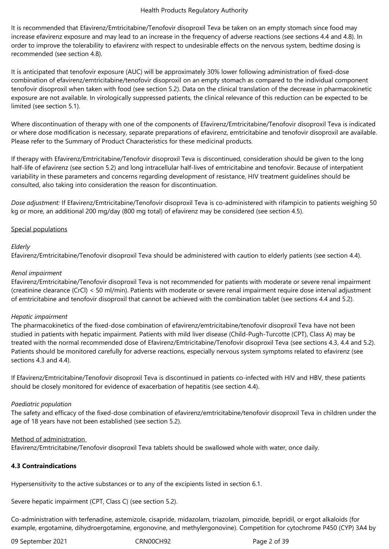It is recommended that Efavirenz/Emtricitabine/Tenofovir disoproxil Teva be taken on an empty stomach since food may increase efavirenz exposure and may lead to an increase in the frequency of adverse reactions (see sections 4.4 and 4.8). In order to improve the tolerability to efavirenz with respect to undesirable effects on the nervous system, bedtime dosing is recommended (see section 4.8).

It is anticipated that tenofovir exposure (AUC) will be approximately 30% lower following administration of fixed-dose combination of efavirenz/emtricitabine/tenofovir disoproxil on an empty stomach as compared to the individual component tenofovir disoproxil when taken with food (see section 5.2). Data on the clinical translation of the decrease in pharmacokinetic exposure are not available. In virologically suppressed patients, the clinical relevance of this reduction can be expected to be limited (see section 5.1).

Where discontinuation of therapy with one of the components of Efavirenz/Emtricitabine/Tenofovir disoproxil Teva is indicated or where dose modification is necessary, separate preparations of efavirenz, emtricitabine and tenofovir disoproxil are available. Please refer to the Summary of Product Characteristics for these medicinal products.

If therapy with Efavirenz/Emtricitabine/Tenofovir disoproxil Teva is discontinued, consideration should be given to the long half-life of efavirenz (see section 5.2) and long intracellular half-lives of emtricitabine and tenofovir. Because of interpatient variability in these parameters and concerns regarding development of resistance, HIV treatment guidelines should be consulted, also taking into consideration the reason for discontinuation.

*Dose adjustment:* If Efavirenz/Emtricitabine/Tenofovir disoproxil Teva is co-administered with rifampicin to patients weighing 50 kg or more, an additional 200 mg/day (800 mg total) of efavirenz may be considered (see section 4.5).

## Special populations

## *Elderly*

Efavirenz/Emtricitabine/Tenofovir disoproxil Teva should be administered with caution to elderly patients (see section 4.4).

## *Renal impairment*

Efavirenz/Emtricitabine/Tenofovir disoproxil Teva is not recommended for patients with moderate or severe renal impairment (creatinine clearance (CrCl) < 50 ml/min). Patients with moderate or severe renal impairment require dose interval adjustment of emtricitabine and tenofovir disoproxil that cannot be achieved with the combination tablet (see sections 4.4 and 5.2).

## *Hepatic impairment*

The pharmacokinetics of the fixed-dose combination of efavirenz/emtricitabine/tenofovir disoproxil Teva have not been studied in patients with hepatic impairment. Patients with mild liver disease (Child-Pugh-Turcotte (CPT), Class A) may be treated with the normal recommended dose of Efavirenz/Emtricitabine/Tenofovir disoproxil Teva (see sections 4.3, 4.4 and 5.2). Patients should be monitored carefully for adverse reactions, especially nervous system symptoms related to efavirenz (see sections 4.3 and 4.4).

If Efavirenz/Emtricitabine/Tenofovir disoproxil Teva is discontinued in patients co-infected with HIV and HBV, these patients should be closely monitored for evidence of exacerbation of hepatitis (see section 4.4).

## *Paediatric population*

The safety and efficacy of the fixed-dose combination of efavirenz/emtricitabine/tenofovir disoproxil Teva in children under the age of 18 years have not been established (see section 5.2).

## Method of administration

Efavirenz/Emtricitabine/Tenofovir disoproxil Teva tablets should be swallowed whole with water, once daily.

## **4.3 Contraindications**

Hypersensitivity to the active substances or to any of the excipients listed in section 6.1.

Severe hepatic impairment (CPT, Class C) (see section 5.2).

Co-administration with terfenadine, astemizole, cisapride, midazolam, triazolam, pimozide, bepridil, or ergot alkaloids (for example, ergotamine, dihydroergotamine, ergonovine, and methylergonovine). Competition for cytochrome P450 (CYP) 3A4 by

09 September 2021 CRN00CH92 Page 2 of 39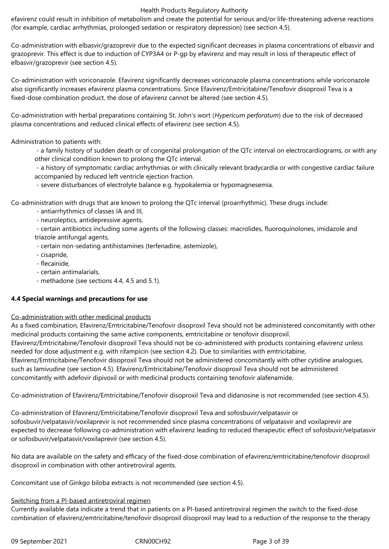efavirenz could result in inhibition of metabolism and create the potential for serious and/or life-threatening adverse reactions (for example, cardiac arrhythmias, prolonged sedation or respiratory depression) (see section 4.5).

Co-administration with elbasvir/grazoprevir due to the expected significant decreases in plasma concentrations of elbasvir and grazoprevir. This effect is due to induction of CYP3A4 or P-gp by efavirenz and may result in loss of therapeutic effect of elbasvir/grazoprevir (see section 4.5).

Co-administration with voriconazole. Efavirenz significantly decreases voriconazole plasma concentrations while voriconazole also significantly increases efavirenz plasma concentrations. Since Efavirenz/Emtricitabine/Tenofovir disoproxil Teva is a fixed-dose combination product, the dose of efavirenz cannot be altered (see section 4.5).

Co-administration with herbal preparations containing St. John's wort (*Hypericum perforatum*) due to the risk of decreased plasma concentrations and reduced clinical effects of efavirenz (see section 4.5).

# Administration to patients with:

 - a family history of sudden death or of congenital prolongation of the QTc interval on electrocardiograms, or with any other clinical condition known to prolong the QTc interval.

 - a history of symptomatic cardiac arrhythmias or with clinically relevant bradycardia or with congestive cardiac failure accompanied by reduced left ventricle ejection fraction.

- severe disturbances of electrolyte balance e.g. hypokalemia or hypomagnesemia.

Co-administration with drugs that are known to prolong the QTc interval (proarrhythmic). These drugs include:

- antiarrhythmics of classes IA and III,
- neuroleptics, antidepressive agents,

 - certain antibiotics including some agents of the following classes: macrolides, fluoroquinolones, imidazole and triazole antifungal agents,

- certain non-sedating antihistamines (terfenadine, astemizole),
- cisapride,
- flecainide,
- certain antimalarials,
- methadone (see sections 4.4, 4.5 and 5.1).

## **4.4 Special warnings and precautions for use**

## Co-administration with other medicinal products

As a fixed combination, Efavirenz/Emtricitabine/Tenofovir disoproxil Teva should not be administered concomitantly with other medicinal products containing the same active components, emtricitabine or tenofovir disoproxil.

Efavirenz/Emtricitabine/Tenofovir disoproxil Teva should not be co-administered with products containing efavirenz unless needed for dose adjustment e.g. with rifampicin (see section 4.2). Due to similarities with emtricitabine,

Efavirenz/Emtricitabine/Tenofovir disoproxil Teva should not be administered concomitantly with other cytidine analogues, such as lamivudine (see section 4.5). Efavirenz/Emtricitabine/Tenofovir disoproxil Teva should not be administered concomitantly with adefovir dipivoxil or with medicinal products containing tenofovir alafenamide.

Co-administration of Efavirenz/Emtricitabine/Tenofovir disoproxil Teva and didanosine is not recommended (see section 4.5).

Co-administration of Efavirenz/Emtricitabine/Tenofovir disoproxil Teva and sofosbuvir/velpatasvir or sofosbuvir/velpatasvir/voxilaprevir is not recommended since plasma concentrations of velpatasvir and voxilaprevir are expected to decrease following co-administration with efavirenz leading to reduced therapeutic effect of sofosbuvir/velpatasvir or sofosbuvir/velpatasvir/voxilaprevir (see section 4.5).

No data are available on the safety and efficacy of the fixed-dose combination of efavirenz/emtricitabine/tenofovir disoproxil disoproxil in combination with other antiretroviral agents.

Concomitant use of Ginkgo biloba extracts is not recommended (see section 4.5).

## Switching from a PI-based antiretroviral regimen

Currently available data indicate a trend that in patients on a PI-based antiretroviral regimen the switch to the fixed-dose combination of efavirenz/emtricitabine/tenofovir disoproxil disoproxil may lead to a reduction of the response to the therapy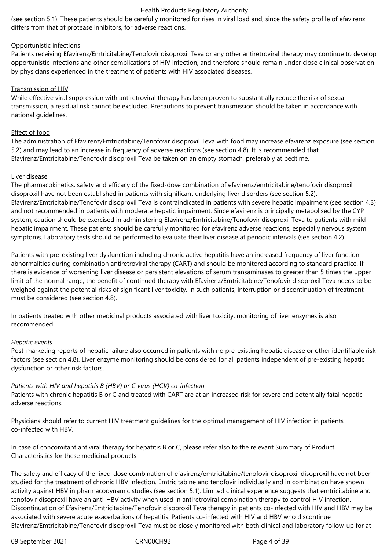(see section 5.1). These patients should be carefully monitored for rises in viral load and, since the safety profile of efavirenz differs from that of protease inhibitors, for adverse reactions.

## Opportunistic infections

Patients receiving Efavirenz/Emtricitabine/Tenofovir disoproxil Teva or any other antiretroviral therapy may continue to develop opportunistic infections and other complications of HIV infection, and therefore should remain under close clinical observation by physicians experienced in the treatment of patients with HIV associated diseases.

## Transmission of HIV

While effective viral suppression with antiretroviral therapy has been proven to substantially reduce the risk of sexual transmission, a residual risk cannot be excluded. Precautions to prevent transmission should be taken in accordance with national guidelines.

## Effect of food

The administration of Efavirenz/Emtricitabine/Tenofovir disoproxil Teva with food may increase efavirenz exposure (see section 5.2) and may lead to an increase in frequency of adverse reactions (see section 4.8). It is recommended that Efavirenz/Emtricitabine/Tenofovir disoproxil Teva be taken on an empty stomach, preferably at bedtime.

## Liver disease

The pharmacokinetics, safety and efficacy of the fixed-dose combination of efavirenz/emtricitabine/tenofovir disoproxil disoproxil have not been established in patients with significant underlying liver disorders (see section 5.2). Efavirenz/Emtricitabine/Tenofovir disoproxil Teva is contraindicated in patients with severe hepatic impairment (see section 4.3) and not recommended in patients with moderate hepatic impairment. Since efavirenz is principally metabolised by the CYP system, caution should be exercised in administering Efavirenz/Emtricitabine/Tenofovir disoproxil Teva to patients with mild hepatic impairment. These patients should be carefully monitored for efavirenz adverse reactions, especially nervous system symptoms. Laboratory tests should be performed to evaluate their liver disease at periodic intervals (see section 4.2).

Patients with pre-existing liver dysfunction including chronic active hepatitis have an increased frequency of liver function abnormalities during combination antiretroviral therapy (CART) and should be monitored according to standard practice. If there is evidence of worsening liver disease or persistent elevations of serum transaminases to greater than 5 times the upper limit of the normal range, the benefit of continued therapy with Efavirenz/Emtricitabine/Tenofovir disoproxil Teva needs to be weighed against the potential risks of significant liver toxicity. In such patients, interruption or discontinuation of treatment must be considered (see section 4.8).

In patients treated with other medicinal products associated with liver toxicity, monitoring of liver enzymes is also recommended.

## *Hepatic events*

Post-marketing reports of hepatic failure also occurred in patients with no pre-existing hepatic disease or other identifiable risk factors (see section 4.8). Liver enzyme monitoring should be considered for all patients independent of pre-existing hepatic dysfunction or other risk factors.

## *Patients with HIV and hepatitis B (HBV) or C virus (HCV) co-infection*

Patients with chronic hepatitis B or C and treated with CART are at an increased risk for severe and potentially fatal hepatic adverse reactions.

Physicians should refer to current HIV treatment guidelines for the optimal management of HIV infection in patients co-infected with HBV.

In case of concomitant antiviral therapy for hepatitis B or C, please refer also to the relevant Summary of Product Characteristics for these medicinal products.

The safety and efficacy of the fixed-dose combination of efavirenz/emtricitabine/tenofovir disoproxil disoproxil have not been studied for the treatment of chronic HBV infection. Emtricitabine and tenofovir individually and in combination have shown activity against HBV in pharmacodynamic studies (see section 5.1). Limited clinical experience suggests that emtricitabine and tenofovir disoproxil have an anti-HBV activity when used in antiretroviral combination therapy to control HIV infection. Discontinuation of Efavirenz/Emtricitabine/Tenofovir disoproxil Teva therapy in patients co-infected with HIV and HBV may be associated with severe acute exacerbations of hepatitis. Patients co-infected with HIV and HBV who discontinue Efavirenz/Emtricitabine/Tenofovir disoproxil Teva must be closely monitored with both clinical and laboratory follow-up for at

09 September 2021 CRN00CH92 Page 4 of 39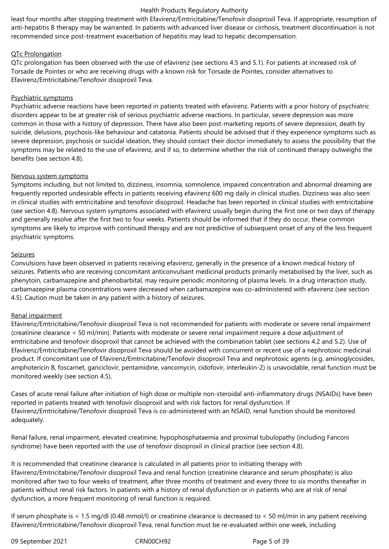least four months after stopping treatment with Efavirenz/Emtricitabine/Tenofovir disoproxil Teva. If appropriate, resumption of anti-hepatitis B therapy may be warranted. In patients with advanced liver disease or cirrhosis, treatment discontinuation is not recommended since post-treatment exacerbation of hepatitis may lead to hepatic decompensation.

## QTc Prolongation

QTc prolongation has been observed with the use of efavirenz (see sections 4.5 and 5.1). For patients at increased risk of Torsade de Pointes or who are receiving drugs with a known risk for Torsade de Pointes, consider alternatives to Efavirenz/Emtricitabine/Tenofovir disoproxil Teva.

## Psychiatric symptoms

Psychiatric adverse reactions have been reported in patients treated with efavirenz. Patients with a prior history of psychiatric disorders appear to be at greater risk of serious psychiatric adverse reactions. In particular, severe depression was more common in those with a history of depression. There have also been post-marketing reports of severe depression, death by suicide, delusions, psychosis-like behaviour and catatonia. Patients should be advised that if they experience symptoms such as severe depression, psychosis or suicidal ideation, they should contact their doctor immediately to assess the possibility that the symptoms may be related to the use of efavirenz, and if so, to determine whether the risk of continued therapy outweighs the benefits (see section 4.8).

## Nervous system symptoms

Symptoms including, but not limited to, dizziness, insomnia, somnolence, impaired concentration and abnormal dreaming are frequently reported undesirable effects in patients receiving efavirenz 600 mg daily in clinical studies. Dizziness was also seen in clinical studies with emtricitabine and tenofovir disoproxil. Headache has been reported in clinical studies with emtricitabine (see section 4.8). Nervous system symptoms associated with efavirenz usually begin during the first one or two days of therapy and generally resolve after the first two to four weeks. Patients should be informed that if they do occur, these common symptoms are likely to improve with continued therapy and are not predictive of subsequent onset of any of the less frequent psychiatric symptoms.

## Seizures

Convulsions have been observed in patients receiving efavirenz, generally in the presence of a known medical history of seizures. Patients who are receiving concomitant anticonvulsant medicinal products primarily metabolised by the liver, such as phenytoin, carbamazepine and phenobarbital, may require periodic monitoring of plasma levels. In a drug interaction study, carbamazepine plasma concentrations were decreased when carbamazepine was co-administered with efavirenz (see section 4.5). Caution must be taken in any patient with a history of seizures.

## Renal impairment

Efavirenz/Emtricitabine/Tenofovir disoproxil Teva is not recommended for patients with moderate or severe renal impairment (creatinine clearance < 50 ml/min). Patients with moderate or severe renal impairment require a dose adjustment of emtricitabine and tenofovir disoproxil that cannot be achieved with the combination tablet (see sections 4.2 and 5.2). Use of Efavirenz/Emtricitabine/Tenofovir disoproxil Teva should be avoided with concurrent or recent use of a nephrotoxic medicinal product. If concomitant use of Efavirenz/Emtricitabine/Tenofovir disoproxil Teva and nephrotoxic agents (e.g. aminoglycosides, amphotericin B, foscarnet, ganciclovir, pentamidine, vancomycin, cidofovir, interleukin-2) is unavoidable, renal function must be monitored weekly (see section 4.5).

Cases of acute renal failure after initiation of high dose or multiple non-steroidal anti-inflammatory drugs (NSAIDs) have been reported in patients treated with tenofovir disoproxil and with risk factors for renal dysfunction. If Efavirenz/Emtricitabine/Tenofovir disoproxil Teva is co-administered with an NSAID, renal function should be monitored adequately.

Renal failure, renal impairment, elevated creatinine, hypophosphataemia and proximal tubulopathy (including Fanconi syndrome) have been reported with the use of tenofovir disoproxil in clinical practice (see section 4.8).

It is recommended that creatinine clearance is calculated in all patients prior to initiating therapy with Efavirenz/Emtricitabine/Tenofovir disoproxil Teva and renal function (creatinine clearance and serum phosphate) is also monitored after two to four weeks of treatment, after three months of treatment and every three to six months thereafter in patients without renal risk factors. In patients with a history of renal dysfunction or in patients who are at risk of renal dysfunction, a more frequent monitoring of renal function is required.

If serum phosphate is < 1.5 mg/dl (0.48 mmol/l) or creatinine clearance is decreased to < 50 ml/min in any patient receiving Efavirenz/Emtricitabine/Tenofovir disoproxil Teva, renal function must be re-evaluated within one week, including

09 September 2021 CRN00CH92 Page 5 of 39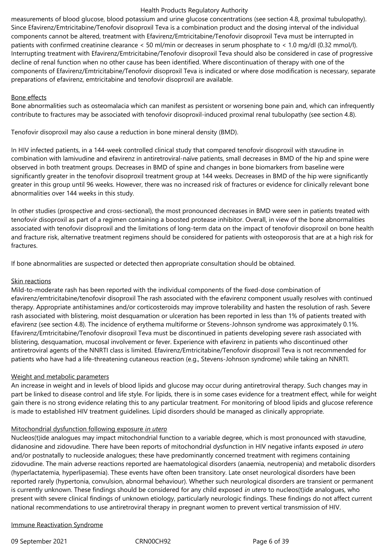measurements of blood glucose, blood potassium and urine glucose concentrations (see section 4.8, proximal tubulopathy). Since Efavirenz/Emtricitabine/Tenofovir disoproxil Teva is a combination product and the dosing interval of the individual components cannot be altered, treatment with Efavirenz/Emtricitabine/Tenofovir disoproxil Teva must be interrupted in patients with confirmed creatinine clearance < 50 ml/min or decreases in serum phosphate to < 1.0 mg/dl (0.32 mmol/l). Interrupting treatment with Efavirenz/Emtricitabine/Tenofovir disoproxil Teva should also be considered in case of progressive decline of renal function when no other cause has been identified. Where discontinuation of therapy with one of the components of Efavirenz/Emtricitabine/Tenofovir disoproxil Teva is indicated or where dose modification is necessary, separate preparations of efavirenz, emtricitabine and tenofovir disoproxil are available.

## Bone effects

Bone abnormalities such as osteomalacia which can manifest as persistent or worsening bone pain and, which can infrequently contribute to fractures may be associated with tenofovir disoproxil-induced proximal renal tubulopathy (see section 4.8).

Tenofovir disoproxil may also cause a reduction in bone mineral density (BMD).

In HIV infected patients, in a 144-week controlled clinical study that compared tenofovir disoproxil with stavudine in combination with lamivudine and efavirenz in antiretroviral-naïve patients, small decreases in BMD of the hip and spine were observed in both treatment groups. Decreases in BMD of spine and changes in bone biomarkers from baseline were significantly greater in the tenofovir disoproxil treatment group at 144 weeks. Decreases in BMD of the hip were significantly greater in this group until 96 weeks. However, there was no increased risk of fractures or evidence for clinically relevant bone abnormalities over 144 weeks in this study.

In other studies (prospective and cross-sectional), the most pronounced decreases in BMD were seen in patients treated with tenofovir disoproxil as part of a regimen containing a boosted protease inhibitor. Overall, in view of the bone abnormalities associated with tenofovir disoproxil and the limitations of long-term data on the impact of tenofovir disoproxil on bone health and fracture risk, alternative treatment regimens should be considered for patients with osteoporosis that are at a high risk for fractures.

If bone abnormalities are suspected or detected then appropriate consultation should be obtained.

## Skin reactions

Mild-to-moderate rash has been reported with the individual components of the fixed-dose combination of efavirenz/emtricitabine/tenofovir disoproxil The rash associated with the efavirenz component usually resolves with continued therapy. Appropriate antihistamines and/or corticosteroids may improve tolerability and hasten the resolution of rash. Severe rash associated with blistering, moist desquamation or ulceration has been reported in less than 1% of patients treated with efavirenz (see section 4.8). The incidence of erythema multiforme or Stevens-Johnson syndrome was approximately 0.1%. Efavirenz/Emtricitabine/Tenofovir disoproxil Teva must be discontinued in patients developing severe rash associated with blistering, desquamation, mucosal involvement or fever. Experience with efavirenz in patients who discontinued other antiretroviral agents of the NNRTI class is limited. Efavirenz/Emtricitabine/Tenofovir disoproxil Teva is not recommended for patients who have had a life-threatening cutaneous reaction (e.g., Stevens-Johnson syndrome) while taking an NNRTI.

# Weight and metabolic parameters

An increase in weight and in levels of blood lipids and glucose may occur during antiretroviral therapy. Such changes may in part be linked to disease control and life style. For lipids, there is in some cases evidence for a treatment effect, while for weight gain there is no strong evidence relating this to any particular treatment. For monitoring of blood lipids and glucose reference is made to established HIV treatment guidelines. Lipid disorders should be managed as clinically appropriate.

## Mitochondrial dysfunction following exposure *in utero*

Nucleos(t)ide analogues may impact mitochondrial function to a variable degree, which is most pronounced with stavudine, didanosine and zidovudine. There have been reports of mitochondrial dysfunction in HIV negative infants exposed *in utero* and/or postnatally to nucleoside analogues; these have predominantly concerned treatment with regimens containing zidovudine. The main adverse reactions reported are haematological disorders (anaemia, neutropenia) and metabolic disorders (hyperlactatemia, hyperlipasemia). These events have often been transitory. Late onset neurological disorders have been reported rarely (hypertonia, convulsion, abnormal behaviour). Whether such neurological disorders are transient or permanent is currently unknown. These findings should be considered for any child exposed *in utero* to nucleos(t)ide analogues, who present with severe clinical findings of unknown etiology, particularly neurologic findings. These findings do not affect current national recommendations to use antiretroviral therapy in pregnant women to prevent vertical transmission of HIV.

## Immune Reactivation Syndrome

09 September 2021 CRN00CH92 Page 6 of 39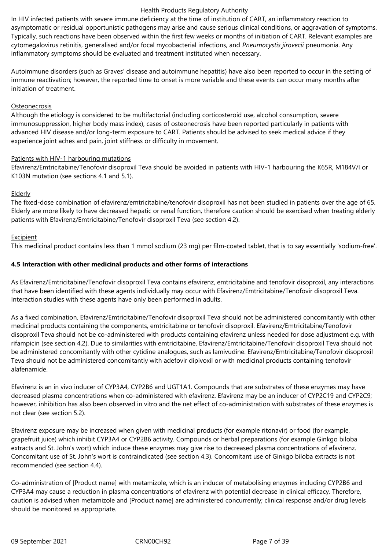In HIV infected patients with severe immune deficiency at the time of institution of CART, an inflammatory reaction to asymptomatic or residual opportunistic pathogens may arise and cause serious clinical conditions, or aggravation of symptoms. Typically, such reactions have been observed within the first few weeks or months of initiation of CART. Relevant examples are cytomegalovirus retinitis, generalised and/or focal mycobacterial infections, and *Pneumocystis jirovecii* pneumonia. Any inflammatory symptoms should be evaluated and treatment instituted when necessary.

Autoimmune disorders (such as Graves' disease and autoimmune hepatitis) have also been reported to occur in the setting of immune reactivation; however, the reported time to onset is more variable and these events can occur many months after initiation of treatment.

## **Osteonecrosis**

Although the etiology is considered to be multifactorial (including corticosteroid use, alcohol consumption, severe immunosuppression, higher body mass index), cases of osteonecrosis have been reported particularly in patients with advanced HIV disease and/or long-term exposure to CART. Patients should be advised to seek medical advice if they experience joint aches and pain, joint stiffness or difficulty in movement.

#### Patients with HIV-1 harbouring mutations

Efavirenz/Emtricitabine/Tenofovir disoproxil Teva should be avoided in patients with HIV-1 harbouring the K65R, M184V/I or K103N mutation (see sections 4.1 and 5.1).

#### Elderly

The fixed-dose combination of efavirenz/emtricitabine/tenofovir disoproxil has not been studied in patients over the age of 65. Elderly are more likely to have decreased hepatic or renal function, therefore caution should be exercised when treating elderly patients with Efavirenz/Emtricitabine/Tenofovir disoproxil Teva (see section 4.2).

## **Excipient**

This medicinal product contains less than 1 mmol sodium (23 mg) per film-coated tablet, that is to say essentially 'sodium-free'.

## **4.5 Interaction with other medicinal products and other forms of interactions**

As Efavirenz/Emtricitabine/Tenofovir disoproxil Teva contains efavirenz, emtricitabine and tenofovir disoproxil, any interactions that have been identified with these agents individually may occur with Efavirenz/Emtricitabine/Tenofovir disoproxil Teva. Interaction studies with these agents have only been performed in adults.

As a fixed combination, Efavirenz/Emtricitabine/Tenofovir disoproxil Teva should not be administered concomitantly with other medicinal products containing the components, emtricitabine or tenofovir disoproxil. Efavirenz/Emtricitabine/Tenofovir disoproxil Teva should not be co-administered with products containing efavirenz unless needed for dose adjustment e.g. with rifampicin (see section 4.2). Due to similarities with emtricitabine, Efavirenz/Emtricitabine/Tenofovir disoproxil Teva should not be administered concomitantly with other cytidine analogues, such as lamivudine. Efavirenz/Emtricitabine/Tenofovir disoproxil Teva should not be administered concomitantly with adefovir dipivoxil or with medicinal products containing tenofovir alafenamide.

Efavirenz is an in vivo inducer of CYP3A4, CYP2B6 and UGT1A1. Compounds that are substrates of these enzymes may have decreased plasma concentrations when co-administered with efavirenz. Efavirenz may be an inducer of CYP2C19 and CYP2C9; however, inhibition has also been observed in vitro and the net effect of co-administration with substrates of these enzymes is not clear (see section 5.2).

Efavirenz exposure may be increased when given with medicinal products (for example ritonavir) or food (for example, grapefruit juice) which inhibit CYP3A4 or CYP2B6 activity. Compounds or herbal preparations (for example Ginkgo biloba extracts and St. John's wort) which induce these enzymes may give rise to decreased plasma concentrations of efavirenz. Concomitant use of St. John's wort is contraindicated (see section 4.3). Concomitant use of Ginkgo biloba extracts is not recommended (see section 4.4).

Co-administration of [Product name] with metamizole, which is an inducer of metabolising enzymes including CYP2B6 and CYP3A4 may cause a reduction in plasma concentrations of efavirenz with potential decrease in clinical efficacy. Therefore, caution is advised when metamizole and [Product name] are administered concurrently; clinical response and/or drug levels should be monitored as appropriate.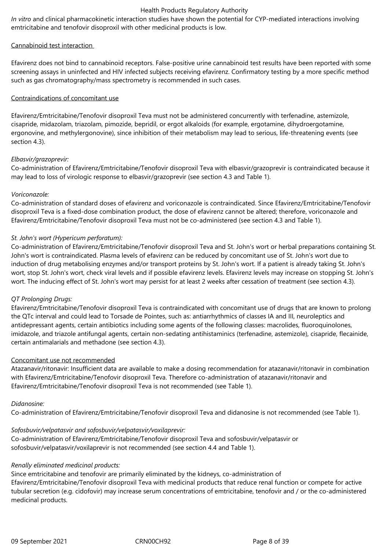*In vitro* and clinical pharmacokinetic interaction studies have shown the potential for CYP-mediated interactions involving emtricitabine and tenofovir disoproxil with other medicinal products is low.

# Cannabinoid test interaction

Efavirenz does not bind to cannabinoid receptors. False-positive urine cannabinoid test results have been reported with some screening assays in uninfected and HIV infected subjects receiving efavirenz. Confirmatory testing by a more specific method such as gas chromatography/mass spectrometry is recommended in such cases.

## Contraindications of concomitant use

Efavirenz/Emtricitabine/Tenofovir disoproxil Teva must not be administered concurrently with terfenadine, astemizole, cisapride, midazolam, triazolam, pimozide, bepridil, or ergot alkaloids (for example, ergotamine, dihydroergotamine, ergonovine, and methylergonovine), since inhibition of their metabolism may lead to serious, life-threatening events (see section 4.3).

## *Elbasvir/grazoprevir:*

Co-administration of Efavirenz/Emtricitabine/Tenofovir disoproxil Teva with elbasvir/grazoprevir is contraindicated because it may lead to loss of virologic response to elbasvir/grazoprevir (see section 4.3 and Table 1).

## *Voriconazole:*

Co-administration of standard doses of efavirenz and voriconazole is contraindicated. Since Efavirenz/Emtricitabine/Tenofovir disoproxil Teva is a fixed-dose combination product, the dose of efavirenz cannot be altered; therefore, voriconazole and Efavirenz/Emtricitabine/Tenofovir disoproxil Teva must not be co-administered (see section 4.3 and Table 1).

## *St. John's wort (Hypericum perforatum):*

Co-administration of Efavirenz/Emtricitabine/Tenofovir disoproxil Teva and St. John's wort or herbal preparations containing St. John's wort is contraindicated. Plasma levels of efavirenz can be reduced by concomitant use of St. John's wort due to induction of drug metabolising enzymes and/or transport proteins by St. John's wort. If a patient is already taking St. John's wort, stop St. John's wort, check viral levels and if possible efavirenz levels. Efavirenz levels may increase on stopping St. John's wort. The inducing effect of St. John's wort may persist for at least 2 weeks after cessation of treatment (see section 4.3).

## *QT Prolonging Drugs:*

Efavirenz/Emtricitabine/Tenofovir disoproxil Teva is contraindicated with concomitant use of drugs that are known to prolong the QTc interval and could lead to Torsade de Pointes, such as: antiarrhythmics of classes IA and III, neuroleptics and antidepressant agents, certain antibiotics including some agents of the following classes: macrolides, fluoroquinolones, imidazole, and triazole antifungal agents, certain non-sedating antihistaminics (terfenadine, astemizole), cisapride, flecainide, certain antimalarials and methadone (see section 4.3).

## Concomitant use not recommended

Atazanavir/ritonavir: Insufficient data are available to make a dosing recommendation for atazanavir/ritonavir in combination with Efavirenz/Emtricitabine/Tenofovir disoproxil Teva. Therefore co-administration of atazanavir/ritonavir and Efavirenz/Emtricitabine/Tenofovir disoproxil Teva is not recommended (see Table 1).

## *Didanosine:*

Co-administration of Efavirenz/Emtricitabine/Tenofovir disoproxil Teva and didanosine is not recommended (see Table 1).

## *Sofosbuvir/velpatasvir and sofosbuvir/velpatasvir/voxilaprevir:*

Co-administration of Efavirenz/Emtricitabine/Tenofovir disoproxil Teva and sofosbuvir/velpatasvir or sofosbuvir/velpatasvir/voxilaprevir is not recommended (see section 4.4 and Table 1).

## *Renally eliminated medicinal products:*

Since emtricitabine and tenofovir are primarily eliminated by the kidneys, co-administration of Efavirenz/Emtricitabine/Tenofovir disoproxil Teva with medicinal products that reduce renal function or compete for active tubular secretion (e.g. cidofovir) may increase serum concentrations of emtricitabine, tenofovir and / or the co-administered medicinal products.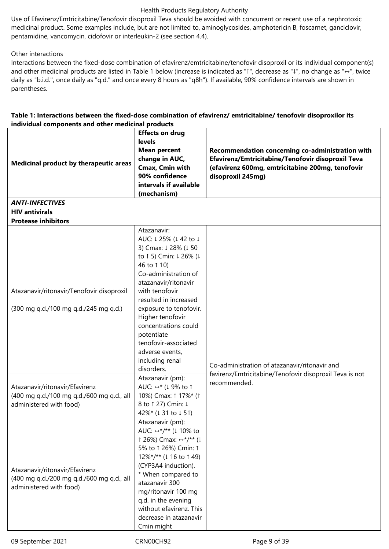Use of Efavirenz/Emtricitabine/Tenofovir disoproxil Teva should be avoided with concurrent or recent use of a nephrotoxic medicinal product. Some examples include, but are not limited to, aminoglycosides, amphotericin B, foscarnet, ganciclovir, pentamidine, vancomycin, cidofovir or interleukin-2 (see section 4.4).

# Other interactions

Interactions between the fixed-dose combination of efavirenz/emtricitabine/tenofovir disoproxil or its individual component(s) and other medicinal products are listed in Table 1 below (increase is indicated as "↑", decrease as "↓", no change as "↔", twice daily as "b.i.d.", once daily as "q.d." and once every 8 hours as "q8h"). If available, 90% confidence intervals are shown in parentheses.

## **Table 1: Interactions between the fixed-dose combination of efavirenz/ emtricitabine/ tenofovir disoproxilor its individual components and other medicinal products**

| <b>Medicinal product by therapeutic areas</b>                                                          | <b>Effects on drug</b><br>levels<br><b>Mean percent</b><br>change in AUC,<br>Cmax, Cmin with<br>90% confidence<br>intervals if available<br>(mechanism)                                                                                                                                                                                                        | Recommendation concerning co-administration with<br>Efavirenz/Emtricitabine/Tenofovir disoproxil Teva<br>(efavirenz 600mg, emtricitabine 200mg, tenofovir<br>disoproxil 245mg) |
|--------------------------------------------------------------------------------------------------------|----------------------------------------------------------------------------------------------------------------------------------------------------------------------------------------------------------------------------------------------------------------------------------------------------------------------------------------------------------------|--------------------------------------------------------------------------------------------------------------------------------------------------------------------------------|
| <b>ANTI-INFECTIVES</b>                                                                                 |                                                                                                                                                                                                                                                                                                                                                                |                                                                                                                                                                                |
| <b>HIV antivirals</b><br><b>Protease inhibitors</b>                                                    |                                                                                                                                                                                                                                                                                                                                                                |                                                                                                                                                                                |
| Atazanavir/ritonavir/Tenofovir disoproxil<br>(300 mg q.d./100 mg q.d./245 mg q.d.)                     | Atazanavir:<br>AUC: ↓25% (↓42 to ↓<br>3) Cmax: 1 28% (1 50<br>to ↑ 5) Cmin: ↓ 26% (↓<br>46 to 1 10)<br>Co-administration of<br>atazanavir/ritonavir<br>with tenofovir<br>resulted in increased<br>exposure to tenofovir.<br>Higher tenofovir<br>concentrations could<br>potentiate<br>tenofovir-associated<br>adverse events,<br>including renal<br>disorders. | Co-administration of atazanavir/ritonavir and<br>favirenz/Emtricitabine/Tenofovir disoproxil Teva is not                                                                       |
| Atazanavir/ritonavir/Efavirenz<br>(400 mg g.d./100 mg g.d./600 mg g.d., all<br>administered with food) | Atazanavir (pm):<br>AUC: ↔* (↓9% to ↑<br>10%) Cmax: 1 17%* (1<br>8 to ↑ 27) Cmin: ↓<br>42%* (↓ 31 to ↓ 51)                                                                                                                                                                                                                                                     | recommended.                                                                                                                                                                   |
| Atazanavir/ritonavir/Efavirenz<br>(400 mg q.d./200 mg q.d./600 mg q.d., all<br>administered with food) | Atazanavir (pm):<br>AUC: ↔*/** (↓ 10% to<br>$\uparrow$ 26%) Cmax: $\leftrightarrow$ */** (↓<br>5% to ↑ 26%) Cmin: ↑<br>12%*/** (1 16 to 1 49)<br>(CYP3A4 induction).<br>* When compared to<br>atazanavir 300<br>mg/ritonavir 100 mg<br>q.d. in the evening<br>without efavirenz. This<br>decrease in atazanavir<br>Cmin might                                  |                                                                                                                                                                                |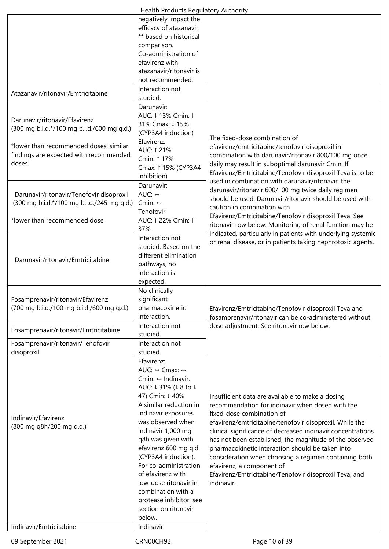| Health Products Regulatory Authority                                                                                                                                      |                                                                                                                                                                                                                                                                                                                                                                                                                                                                        |                                                                                                                                                                                                                                                                                                                                                                                                                                                                                                                                          |  |
|---------------------------------------------------------------------------------------------------------------------------------------------------------------------------|------------------------------------------------------------------------------------------------------------------------------------------------------------------------------------------------------------------------------------------------------------------------------------------------------------------------------------------------------------------------------------------------------------------------------------------------------------------------|------------------------------------------------------------------------------------------------------------------------------------------------------------------------------------------------------------------------------------------------------------------------------------------------------------------------------------------------------------------------------------------------------------------------------------------------------------------------------------------------------------------------------------------|--|
|                                                                                                                                                                           | negatively impact the<br>efficacy of atazanavir.<br>** based on historical<br>comparison.<br>Co-administration of<br>efavirenz with<br>atazanavir/ritonavir is<br>not recommended.                                                                                                                                                                                                                                                                                     |                                                                                                                                                                                                                                                                                                                                                                                                                                                                                                                                          |  |
| Atazanavir/ritonavir/Emtricitabine                                                                                                                                        | Interaction not<br>studied.                                                                                                                                                                                                                                                                                                                                                                                                                                            |                                                                                                                                                                                                                                                                                                                                                                                                                                                                                                                                          |  |
| Darunavir/ritonavir/Efavirenz<br>(300 mg b.i.d.*/100 mg b.i.d./600 mg q.d.)<br>*lower than recommended doses; similar<br>findings are expected with recommended<br>doses. | Darunavir:<br>AUC: ↓13% Cmin: ↓<br>31% Cmax: ↓15%<br>(CYP3A4 induction)<br>Efavirenz:<br>AUC: 1 21%<br>Cmin: ↑ 17%<br>Cmax: ↑ 15% (CYP3A4<br>inhibition)                                                                                                                                                                                                                                                                                                               | The fixed-dose combination of<br>efavirenz/emtricitabine/tenofovir disoproxil in<br>combination with darunavir/ritonavir 800/100 mg once<br>daily may result in suboptimal darunavir Cmin. If<br>Efavirenz/Emtricitabine/Tenofovir disoproxil Teva is to be                                                                                                                                                                                                                                                                              |  |
| Darunavir/ritonavir/Tenofovir disoproxil<br>(300 mg b.i.d.*/100 mg b.i.d./245 mg q.d.)<br>*lower than recommended dose                                                    | Darunavir:<br>AUC: $\leftrightarrow$<br>Cmin: $\leftrightarrow$<br>Tenofovir:<br>AUC: 1 22% Cmin: 1<br>37%                                                                                                                                                                                                                                                                                                                                                             | used in combination with darunavir/ritonavir, the<br>darunavir/ritonavir 600/100 mg twice daily regimen<br>should be used. Darunavir/ritonavir should be used with<br>caution in combination with<br>Efavirenz/Emtricitabine/Tenofovir disoproxil Teva. See<br>ritonavir row below. Monitoring of renal function may be                                                                                                                                                                                                                  |  |
| Darunavir/ritonavir/Emtricitabine                                                                                                                                         | Interaction not<br>studied. Based on the<br>different elimination<br>pathways, no<br>interaction is<br>expected.                                                                                                                                                                                                                                                                                                                                                       | indicated, particularly in patients with underlying systemic<br>or renal disease, or in patients taking nephrotoxic agents.                                                                                                                                                                                                                                                                                                                                                                                                              |  |
| Fosamprenavir/ritonavir/Efavirenz<br>(700 mg b.i.d./100 mg b.i.d./600 mg q.d.)                                                                                            | No clinically<br>significant<br>pharmacokinetic<br>interaction.                                                                                                                                                                                                                                                                                                                                                                                                        | Efavirenz/Emtricitabine/Tenofovir disoproxil Teva and<br>fosamprenavir/ritonavir can be co-administered without                                                                                                                                                                                                                                                                                                                                                                                                                          |  |
| Fosamprenavir/ritonavir/Emtricitabine                                                                                                                                     | Interaction not<br>studied.                                                                                                                                                                                                                                                                                                                                                                                                                                            | dose adjustment. See ritonavir row below.                                                                                                                                                                                                                                                                                                                                                                                                                                                                                                |  |
| Fosamprenavir/ritonavir/Tenofovir<br>disoproxil                                                                                                                           | Interaction not<br>studied.                                                                                                                                                                                                                                                                                                                                                                                                                                            |                                                                                                                                                                                                                                                                                                                                                                                                                                                                                                                                          |  |
| Indinavir/Efavirenz<br>(800 mg q8h/200 mg q.d.)                                                                                                                           | Efavirenz:<br>AUC: $\leftrightarrow$ Cmax: $\leftrightarrow$<br>Cmin: $\leftrightarrow$ Indinavir:<br>AUC: ↓31% (↓8 to ↓<br>47) Cmin: ↓40%<br>A similar reduction in<br>indinavir exposures<br>was observed when<br>indinavir 1,000 mg<br>q8h was given with<br>efavirenz 600 mg q.d.<br>(CYP3A4 induction).<br>For co-administration<br>of efavirenz with<br>low-dose ritonavir in<br>combination with a<br>protease inhibitor, see<br>section on ritonavir<br>below. | Insufficient data are available to make a dosing<br>recommendation for indinavir when dosed with the<br>fixed-dose combination of<br>efavirenz/emtricitabine/tenofovir disoproxil. While the<br>clinical significance of decreased indinavir concentrations<br>has not been established, the magnitude of the observed<br>pharmacokinetic interaction should be taken into<br>consideration when choosing a regimen containing both<br>efavirenz, a component of<br>Efavirenz/Emtricitabine/Tenofovir disoproxil Teva, and<br>indinavir. |  |
| Indinavir/Emtricitabine                                                                                                                                                   | Indinavir:                                                                                                                                                                                                                                                                                                                                                                                                                                                             |                                                                                                                                                                                                                                                                                                                                                                                                                                                                                                                                          |  |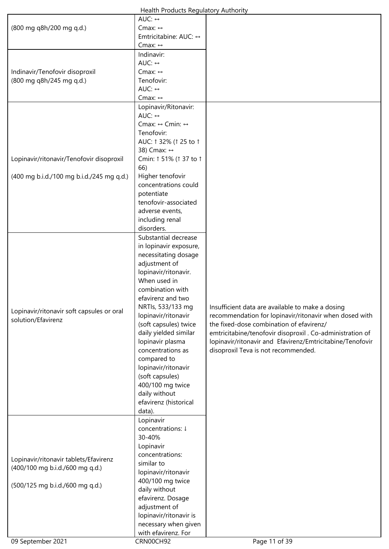| Health Products Regulatory Authority |  |
|--------------------------------------|--|
|--------------------------------------|--|

|                                           | AUC: $\leftrightarrow$  |                                                           |
|-------------------------------------------|-------------------------|-----------------------------------------------------------|
| (800 mg q8h/200 mg q.d.)                  | Cmax: $\leftrightarrow$ |                                                           |
|                                           | Emtricitabine: AUC: ↔   |                                                           |
|                                           | Cmax: $\leftrightarrow$ |                                                           |
|                                           | Indinavir:              |                                                           |
|                                           | AUC: ↔                  |                                                           |
| Indinavir/Tenofovir disoproxil            | Cmax: ↔                 |                                                           |
| (800 mg q8h/245 mg q.d.)                  | Tenofovir:              |                                                           |
|                                           | AUC: ↔                  |                                                           |
|                                           |                         |                                                           |
|                                           | Cmax: $\leftrightarrow$ |                                                           |
|                                           | Lopinavir/Ritonavir:    |                                                           |
|                                           | AUC: $\leftrightarrow$  |                                                           |
|                                           | Cmax: ↔ Cmin: ↔         |                                                           |
|                                           | Tenofovir:              |                                                           |
|                                           | AUC: 1 32% (1 25 to 1   |                                                           |
|                                           | 38) Cmax: ↔             |                                                           |
| Lopinavir/ritonavir/Tenofovir disoproxil  | Cmin: 1 51% (1 37 to 1  |                                                           |
|                                           | 66)                     |                                                           |
| (400 mg b.i.d./100 mg b.i.d./245 mg q.d.) | Higher tenofovir        |                                                           |
|                                           | concentrations could    |                                                           |
|                                           |                         |                                                           |
|                                           | potentiate              |                                                           |
|                                           | tenofovir-associated    |                                                           |
|                                           | adverse events,         |                                                           |
|                                           | including renal         |                                                           |
|                                           | disorders.              |                                                           |
|                                           | Substantial decrease    |                                                           |
|                                           | in lopinavir exposure,  |                                                           |
|                                           | necessitating dosage    |                                                           |
|                                           | adjustment of           |                                                           |
|                                           | lopinavir/ritonavir.    |                                                           |
|                                           | When used in            |                                                           |
|                                           | combination with        |                                                           |
|                                           |                         |                                                           |
|                                           | efavirenz and two       |                                                           |
| Lopinavir/ritonavir soft capsules or oral | NRTIs, 533/133 mg       | Insufficient data are available to make a dosing          |
| solution/Efavirenz                        | lopinavir/ritonavir     | recommendation for lopinavir/ritonavir when dosed with    |
|                                           | (soft capsules) twice   | the fixed-dose combination of efavirenz/                  |
|                                           | daily yielded similar   | emtricitabine/tenofovir disoproxil . Co-administration of |
|                                           | lopinavir plasma        | lopinavir/ritonavir and Efavirenz/Emtricitabine/Tenofovir |
|                                           | concentrations as       | disoproxil Teva is not recommended.                       |
|                                           | compared to             |                                                           |
|                                           | lopinavir/ritonavir     |                                                           |
|                                           | (soft capsules)         |                                                           |
|                                           | 400/100 mg twice        |                                                           |
|                                           |                         |                                                           |
|                                           | daily without           |                                                           |
|                                           | efavirenz (historical   |                                                           |
|                                           | data).                  |                                                           |
|                                           | Lopinavir               |                                                           |
|                                           | concentrations: ↓       |                                                           |
|                                           | 30-40%                  |                                                           |
|                                           | Lopinavir               |                                                           |
|                                           | concentrations:         |                                                           |
| Lopinavir/ritonavir tablets/Efavirenz     | similar to              |                                                           |
| (400/100 mg b.i.d./600 mg q.d.)           | lopinavir/ritonavir     |                                                           |
|                                           | 400/100 mg twice        |                                                           |
| (500/125 mg b.i.d./600 mg q.d.)           | daily without           |                                                           |
|                                           |                         |                                                           |
|                                           | efavirenz. Dosage       |                                                           |
|                                           | adjustment of           |                                                           |
|                                           | lopinavir/ritonavir is  |                                                           |
|                                           | necessary when given    |                                                           |
|                                           | with efavirenz. For     |                                                           |
| 09 September 2021                         | CRN00CH92               | Page 11 of 39                                             |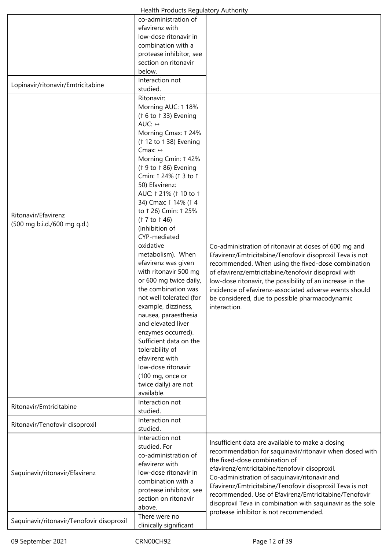|                                           | Health Products Regulatory Authority   |                                                            |
|-------------------------------------------|----------------------------------------|------------------------------------------------------------|
|                                           | co-administration of<br>efavirenz with |                                                            |
|                                           | low-dose ritonavir in                  |                                                            |
|                                           | combination with a                     |                                                            |
|                                           |                                        |                                                            |
|                                           | protease inhibitor, see                |                                                            |
|                                           | section on ritonavir                   |                                                            |
|                                           | below.                                 |                                                            |
| Lopinavir/ritonavir/Emtricitabine         | Interaction not<br>studied.            |                                                            |
|                                           |                                        |                                                            |
|                                           | Ritonavir:                             |                                                            |
|                                           | Morning AUC: 1 18%                     |                                                            |
|                                           | (↑ 6 to ↑ 33) Evening                  |                                                            |
|                                           | AUC: ↔                                 |                                                            |
|                                           | Morning Cmax: 1 24%                    |                                                            |
|                                           | (1 12 to 1 38) Evening                 |                                                            |
|                                           | Cmax: $\leftrightarrow$                |                                                            |
|                                           | Morning Cmin: 1 42%                    |                                                            |
|                                           | (1 9 to 1 86) Evening                  |                                                            |
|                                           | Cmin: 1 24% (1 3 to 1                  |                                                            |
|                                           |                                        |                                                            |
|                                           | 50) Efavirenz:                         |                                                            |
|                                           | AUC: 1 21% (1 10 to 1                  |                                                            |
|                                           | 34) Cmax: 1 14% (1 4                   |                                                            |
| Ritonavir/Efavirenz                       | to 1 26) Cmin: 1 25%                   |                                                            |
| (500 mg b.i.d./600 mg q.d.)               | (1 7 to 1 46)                          |                                                            |
|                                           | (inhibition of                         |                                                            |
|                                           | CYP-mediated                           |                                                            |
|                                           | oxidative                              | Co-administration of ritonavir at doses of 600 mg and      |
|                                           | metabolism). When                      | Efavirenz/Emtricitabine/Tenofovir disoproxil Teva is not   |
|                                           | efavirenz was given                    | recommended. When using the fixed-dose combination         |
|                                           | with ritonavir 500 mg                  | of efavirenz/emtricitabine/tenofovir disoproxil with       |
|                                           | or 600 mg twice daily,                 |                                                            |
|                                           | the combination was                    | low-dose ritonavir, the possibility of an increase in the  |
|                                           |                                        | incidence of efavirenz-associated adverse events should    |
|                                           | not well tolerated (for                | be considered, due to possible pharmacodynamic             |
|                                           | example, dizziness,                    | interaction.                                               |
|                                           | nausea, paraesthesia                   |                                                            |
|                                           | and elevated liver                     |                                                            |
|                                           | enzymes occurred).                     |                                                            |
|                                           | Sufficient data on the                 |                                                            |
|                                           | tolerability of                        |                                                            |
|                                           | efavirenz with                         |                                                            |
|                                           | low-dose ritonavir                     |                                                            |
|                                           | (100 mg, once or                       |                                                            |
|                                           | twice daily) are not                   |                                                            |
|                                           | available.                             |                                                            |
|                                           | Interaction not                        |                                                            |
| Ritonavir/Emtricitabine                   | studied.                               |                                                            |
|                                           | Interaction not                        |                                                            |
| Ritonavir/Tenofovir disoproxil            |                                        |                                                            |
|                                           | studied.                               |                                                            |
|                                           | Interaction not                        | Insufficient data are available to make a dosing           |
|                                           | studied. For                           | recommendation for saquinavir/ritonavir when dosed with    |
|                                           | co-administration of                   | the fixed-dose combination of                              |
|                                           | efavirenz with                         | efavirenz/emtricitabine/tenofovir disoproxil.              |
| Saquinavir/ritonavir/Efavirenz            | low-dose ritonavir in                  | Co-administration of saquinavir/ritonavir and              |
|                                           | combination with a                     |                                                            |
|                                           | protease inhibitor, see                | Efavirenz/Emtricitabine/Tenofovir disoproxil Teva is not   |
|                                           | section on ritonavir                   | recommended. Use of Efavirenz/Emtricitabine/Tenofovir      |
|                                           | above.                                 | disoproxil Teva in combination with saquinavir as the sole |
|                                           | There were no                          | protease inhibitor is not recommended.                     |
| Saquinavir/ritonavir/Tenofovir disoproxil | clinically significant                 |                                                            |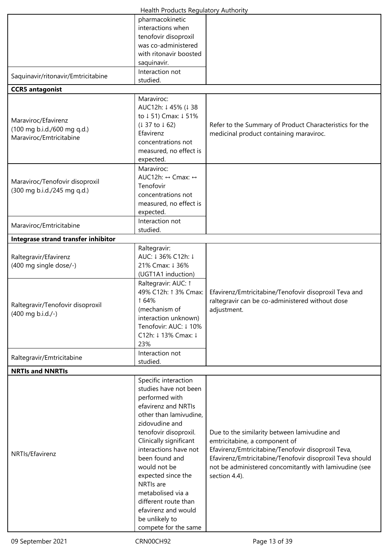|                                     | Health Products Regulatory Authority              |                                                          |  |
|-------------------------------------|---------------------------------------------------|----------------------------------------------------------|--|
|                                     | pharmacokinetic                                   |                                                          |  |
|                                     | interactions when                                 |                                                          |  |
|                                     | tenofovir disoproxil                              |                                                          |  |
|                                     | was co-administered                               |                                                          |  |
|                                     | with ritonavir boosted                            |                                                          |  |
|                                     | saquinavir.                                       |                                                          |  |
|                                     | Interaction not                                   |                                                          |  |
| Saquinavir/ritonavir/Emtricitabine  |                                                   |                                                          |  |
|                                     | studied.                                          |                                                          |  |
| <b>CCR5</b> antagonist              |                                                   |                                                          |  |
|                                     | Maraviroc:                                        |                                                          |  |
|                                     | AUC12h: ↓45% (↓38                                 |                                                          |  |
| Maraviroc/Efavirenz                 | to ↓51) Cmax: ↓51%                                |                                                          |  |
| (100 mg b.i.d./600 mg q.d.)         | (137 to 162)                                      | Refer to the Summary of Product Characteristics for the  |  |
| Maraviroc/Emtricitabine             | Efavirenz                                         | medicinal product containing maraviroc.                  |  |
|                                     | concentrations not                                |                                                          |  |
|                                     | measured, no effect is                            |                                                          |  |
|                                     | expected.                                         |                                                          |  |
|                                     | Maraviroc:                                        |                                                          |  |
|                                     | AUC12h: $\leftrightarrow$ Cmax: $\leftrightarrow$ |                                                          |  |
| Maraviroc/Tenofovir disoproxil      | Tenofovir                                         |                                                          |  |
| (300 mg b.i.d./245 mg q.d.)         | concentrations not                                |                                                          |  |
|                                     |                                                   |                                                          |  |
|                                     | measured, no effect is                            |                                                          |  |
|                                     | expected.                                         |                                                          |  |
| Maraviroc/Emtricitabine             | Interaction not                                   |                                                          |  |
|                                     | studied.                                          |                                                          |  |
| Integrase strand transfer inhibitor |                                                   |                                                          |  |
|                                     | Raltegravir:                                      |                                                          |  |
| Raltegravir/Efavirenz               | AUC: ↓36% C12h: ↓                                 |                                                          |  |
| (400 mg single dose/-)              | 21% Cmax: 1 36%                                   |                                                          |  |
|                                     | (UGT1A1 induction)                                |                                                          |  |
|                                     | Raltegravir: AUC: 1                               |                                                          |  |
|                                     | 49% C12h: 1 3% Cmax:                              | Efavirenz/Emtricitabine/Tenofovir disoproxil Teva and    |  |
|                                     | 164%                                              | raltegravir can be co-administered without dose          |  |
| Raltegravir/Tenofovir disoproxil    | (mechanism of                                     | adjustment.                                              |  |
| (400 mg b.i.d./-)                   | interaction unknown)                              |                                                          |  |
|                                     | Tenofovir: AUC: ↓10%                              |                                                          |  |
|                                     | C12h: ↓13% Cmax: ↓                                |                                                          |  |
|                                     |                                                   |                                                          |  |
|                                     | 23%                                               |                                                          |  |
| Raltegravir/Emtricitabine           | Interaction not                                   |                                                          |  |
|                                     | studied.                                          |                                                          |  |
| <b>NRTIs and NNRTIs</b>             |                                                   |                                                          |  |
|                                     | Specific interaction                              |                                                          |  |
|                                     | studies have not been                             |                                                          |  |
|                                     | performed with                                    |                                                          |  |
|                                     | efavirenz and NRTIs                               |                                                          |  |
|                                     | other than lamivudine,                            |                                                          |  |
|                                     | zidovudine and                                    |                                                          |  |
|                                     | tenofovir disoproxil.                             | Due to the similarity between lamivudine and             |  |
|                                     | Clinically significant                            | emtricitabine, a component of                            |  |
| NRTIs/Efavirenz                     | interactions have not                             | Efavirenz/Emtricitabine/Tenofovir disoproxil Teva,       |  |
|                                     | been found and                                    | Efavirenz/Emtricitabine/Tenofovir disoproxil Teva should |  |
|                                     | would not be                                      | not be administered concomitantly with lamivudine (see   |  |
|                                     | expected since the                                | section 4.4).                                            |  |
|                                     |                                                   |                                                          |  |
|                                     |                                                   |                                                          |  |
|                                     | NRTIs are                                         |                                                          |  |
|                                     | metabolised via a                                 |                                                          |  |
|                                     | different route than                              |                                                          |  |
|                                     | efavirenz and would                               |                                                          |  |
|                                     | be unlikely to<br>compete for the same            |                                                          |  |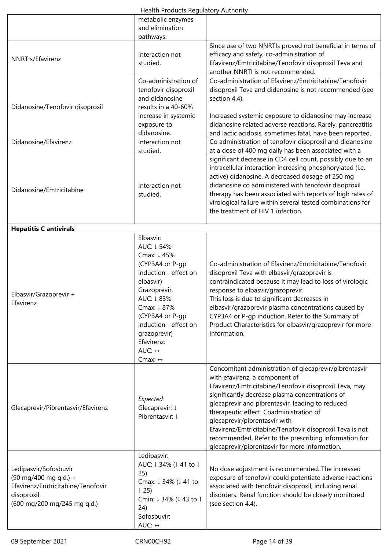|  | Health Products Regulatory Authority |  |
|--|--------------------------------------|--|
|  |                                      |  |

|                                                                                                                                  | metabolic enzymes<br>and elimination<br>pathways.                                                                                                                                                                                                                        |                                                                                                                                                                                                                                                                                                                                                                                                                                                                                                              |
|----------------------------------------------------------------------------------------------------------------------------------|--------------------------------------------------------------------------------------------------------------------------------------------------------------------------------------------------------------------------------------------------------------------------|--------------------------------------------------------------------------------------------------------------------------------------------------------------------------------------------------------------------------------------------------------------------------------------------------------------------------------------------------------------------------------------------------------------------------------------------------------------------------------------------------------------|
| NNRTIs/Efavirenz                                                                                                                 | Interaction not<br>studied.                                                                                                                                                                                                                                              | Since use of two NNRTIs proved not beneficial in terms of<br>efficacy and safety, co-administration of<br>Efavirenz/Emtricitabine/Tenofovir disoproxil Teva and<br>another NNRTI is not recommended.                                                                                                                                                                                                                                                                                                         |
| Didanosine/Tenofovir disoproxil                                                                                                  | Co-administration of<br>tenofovir disoproxil<br>and didanosine<br>results in a 40-60%<br>increase in systemic<br>exposure to                                                                                                                                             | Co-administration of Efavirenz/Emtricitabine/Tenofovir<br>disoproxil Teva and didanosine is not recommended (see<br>section 4.4).<br>Increased systemic exposure to didanosine may increase<br>didanosine related adverse reactions. Rarely, pancreatitis                                                                                                                                                                                                                                                    |
| Didanosine/Efavirenz                                                                                                             | didanosine.<br>Interaction not                                                                                                                                                                                                                                           | and lactic acidosis, sometimes fatal, have been reported.<br>Co administration of tenofovir disoproxil and didanosine                                                                                                                                                                                                                                                                                                                                                                                        |
| Didanosine/Emtricitabine                                                                                                         | studied.<br>Interaction not<br>studied.                                                                                                                                                                                                                                  | at a dose of 400 mg daily has been associated with a<br>significant decrease in CD4 cell count, possibly due to an<br>intracellular interaction increasing phosphorylated (i.e.<br>active) didanosine. A decreased dosage of 250 mg<br>didanosine co administered with tenofovir disoproxil<br>therapy has been associated with reports of high rates of<br>virological failure within several tested combinations for<br>the treatment of HIV 1 infection.                                                  |
| <b>Hepatitis C antivirals</b>                                                                                                    |                                                                                                                                                                                                                                                                          |                                                                                                                                                                                                                                                                                                                                                                                                                                                                                                              |
| Elbasvir/Grazoprevir +<br>Efavirenz                                                                                              | Elbasvir:<br>AUC: 1 54%<br>Cmax: ↓45%<br>(CYP3A4 or P-qp<br>induction - effect on<br>elbasvir)<br>Grazoprevir:<br>AUC: ↓83%<br>Cmax: ↓87%<br>(CYP3A4 or P-gp<br>induction - effect on<br>grazoprevir)<br>Efavirenz:<br>AUC: $\leftrightarrow$<br>Cmax: $\leftrightarrow$ | Co-administration of Efavirenz/Emtricitabine/Tenofovir<br>disoproxil Teva with elbasvir/grazoprevir is<br>contraindicated because it may lead to loss of virologic<br>response to elbasvir/grazoprevir.<br>This loss is due to significant decreases in<br>elbasvir/grazoprevir plasma concentrations caused by<br>CYP3A4 or P-gp induction. Refer to the Summary of<br>Product Characteristics for elbasvir/grazoprevir for more<br>information.                                                            |
| Glecaprevir/Pibrentasvir/Efavirenz                                                                                               | Expected:<br>Glecaprevir: ↓<br>Pibrentasvir: ↓                                                                                                                                                                                                                           | Concomitant administration of glecaprevir/pibrentasvir<br>with efavirenz, a component of<br>Efavirenz/Emtricitabine/Tenofovir disoproxil Teva, may<br>significantly decrease plasma concentrations of<br>glecaprevir and pibrentasvir, leading to reduced<br>therapeutic effect. Coadministration of<br>glecaprevir/pibrentasvir with<br>Efavirenz/Emtricitabine/Tenofovir disoproxil Teva is not<br>recommended. Refer to the prescribing information for<br>glecaprevir/pibrentasvir for more information. |
| Ledipasvir/Sofosbuvir<br>(90 mg/400 mg q.d.) +<br>Efavirenz/Emtricitabine/Tenofovir<br>disoproxil<br>(600 mg/200 mg/245 mg q.d.) | Ledipasvir:<br>AUC: ↓34% (↓41 to ↓<br>25)<br>Cmax: ↓ 34% (↓ 41 to<br>$\uparrow$ 25)<br>Cmin: ↓ 34% (↓ 43 to ↑<br>24)<br>Sofosbuvir:<br>AUC: ↔                                                                                                                            | No dose adjustment is recommended. The increased<br>exposure of tenofovir could potentiate adverse reactions<br>associated with tenofovir disoproxil, including renal<br>disorders. Renal function should be closely monitored<br>(see section 4.4).                                                                                                                                                                                                                                                         |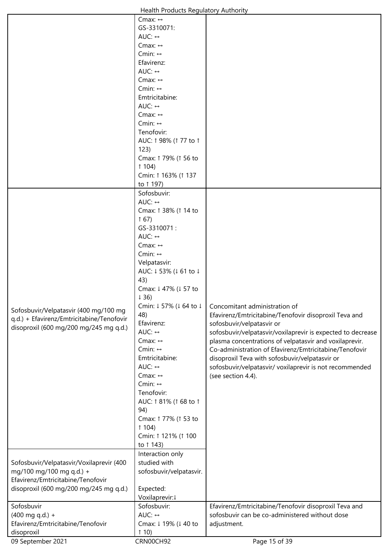| Health Products Regulatory Authority |  |
|--------------------------------------|--|
|--------------------------------------|--|

|                                           | Health Products Regulatory Authority   |                                                             |
|-------------------------------------------|----------------------------------------|-------------------------------------------------------------|
|                                           | Cmax: $\leftrightarrow$                |                                                             |
|                                           | GS-3310071:                            |                                                             |
|                                           | AUC: $\leftrightarrow$                 |                                                             |
|                                           | Cmax: $\leftrightarrow$                |                                                             |
|                                           | Cmin: $\leftrightarrow$                |                                                             |
|                                           | Efavirenz:                             |                                                             |
|                                           | AUC: $\leftrightarrow$                 |                                                             |
|                                           | Cmax: $\leftrightarrow$                |                                                             |
|                                           | Cmin: $\leftrightarrow$                |                                                             |
|                                           | Emtricitabine:                         |                                                             |
|                                           | AUC: $\leftrightarrow$                 |                                                             |
|                                           | Cmax: $\leftrightarrow$                |                                                             |
|                                           | Cmin: $\leftrightarrow$                |                                                             |
|                                           | Tenofovir:                             |                                                             |
|                                           |                                        |                                                             |
|                                           | AUC: 1 98% (1 77 to 1                  |                                                             |
|                                           | 123)                                   |                                                             |
|                                           | Cmax: 1 79% (1 56 to                   |                                                             |
|                                           | 1104                                   |                                                             |
|                                           | Cmin: 1 163% (1 137                    |                                                             |
|                                           | to 1 197)                              |                                                             |
|                                           | Sofosbuvir:                            |                                                             |
|                                           | AUC: $\leftrightarrow$                 |                                                             |
|                                           | Cmax: 1 38% (1 14 to                   |                                                             |
|                                           | 167                                    |                                                             |
|                                           | GS-3310071:                            |                                                             |
|                                           | AUC: $\leftrightarrow$                 |                                                             |
|                                           | Cmax: $\leftrightarrow$                |                                                             |
|                                           | Cmin: $\leftrightarrow$                |                                                             |
|                                           | Velpatasvir:                           |                                                             |
|                                           | AUC: ↓53% (↓61 to ↓                    |                                                             |
|                                           | 43)                                    |                                                             |
|                                           | Cmax: ↓ 47% (↓ 57 to                   |                                                             |
|                                           |                                        |                                                             |
|                                           | $\downarrow$ 36)                       |                                                             |
| Sofosbuvir/Velpatasvir (400 mg/100 mg     | Cmin: ↓57% (↓64 to ↓                   | Concomitant administration of                               |
| q.d.) + Efavirenz/Emtricitabine/Tenofovir | 48)                                    | Efavirenz/Emtricitabine/Tenofovir disoproxil Teva and       |
| disoproxil (600 mg/200 mg/245 mg q.d.)    | Efavirenz:                             | sofosbuvir/velpatasvir or                                   |
|                                           | AUC: $\leftrightarrow$                 | sofosbuvir/velpatasvir/voxilaprevir is expected to decrease |
|                                           | Cmax: $\leftrightarrow$                | plasma concentrations of velpatasvir and voxilaprevir.      |
|                                           | Cmin: $\leftrightarrow$                | Co-administration of Efavirenz/Emtricitabine/Tenofovir      |
|                                           | Emtricitabine:                         | disoproxil Teva with sofosbuvir/velpatasvir or              |
|                                           | AUC: $\leftrightarrow$                 | sofosbuvir/velpatasvir/ voxilaprevir is not recommended     |
|                                           | Cmax: $\leftrightarrow$                | (see section 4.4).                                          |
|                                           | Cmin: $\leftrightarrow$                |                                                             |
|                                           | Tenofovir:                             |                                                             |
|                                           | AUC: 1 81% (1 68 to 1                  |                                                             |
|                                           | 94)                                    |                                                             |
|                                           | Cmax: 1 77% (1 53 to                   |                                                             |
|                                           | 104                                    |                                                             |
|                                           | Cmin: 1 121% (1 100                    |                                                             |
|                                           | to 1 143)                              |                                                             |
|                                           | Interaction only                       |                                                             |
| Sofosbuvir/Velpatasvir/Voxilaprevir (400  | studied with                           |                                                             |
| mg/100 mg/100 mg q.d.) +                  | sofosbuvir/velpatasvir.                |                                                             |
| Efavirenz/Emtricitabine/Tenofovir         |                                        |                                                             |
| disoproxil (600 mg/200 mg/245 mg q.d.)    | Expected:                              |                                                             |
|                                           | Voxilaprevir:1                         |                                                             |
| Sofosbuvir                                | Sofosbuvir:                            |                                                             |
|                                           | AUC: $\leftrightarrow$                 | Efavirenz/Emtricitabine/Tenofovir disoproxil Teva and       |
| $(400$ mg q.d.) +                         |                                        | sofosbuvir can be co-administered without dose              |
| Efavirenz/Emtricitabine/Tenofovir         | Cmax: ↓ 19% (↓ 40 to<br>$\uparrow$ 10) | adjustment.                                                 |
|                                           |                                        |                                                             |
| disoproxil<br>09 September 2021           | CRN00CH92                              | Page 15 of 39                                               |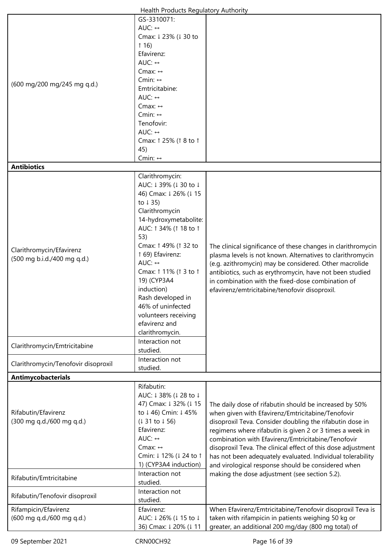|                                     | Health Products Regulatory Authority |                                                              |
|-------------------------------------|--------------------------------------|--------------------------------------------------------------|
|                                     | GS-3310071:                          |                                                              |
|                                     | AUC: $\leftrightarrow$               |                                                              |
|                                     | Cmax: ↓23% (↓30 to                   |                                                              |
|                                     | 116                                  |                                                              |
|                                     | Efavirenz:                           |                                                              |
|                                     | AUC: $\leftrightarrow$               |                                                              |
|                                     | Cmax: $\leftrightarrow$              |                                                              |
| (600 mg/200 mg/245 mg q.d.)         | Cmin: $\leftrightarrow$              |                                                              |
|                                     | Emtricitabine:                       |                                                              |
|                                     | AUC: $\leftrightarrow$               |                                                              |
|                                     | Cmax: $\leftrightarrow$              |                                                              |
|                                     | Cmin: $\leftrightarrow$              |                                                              |
|                                     | Tenofovir:                           |                                                              |
|                                     | AUC: $\leftrightarrow$               |                                                              |
|                                     | Cmax: 1 25% (1 8 to 1                |                                                              |
|                                     | 45)                                  |                                                              |
|                                     | Cmin: $\leftrightarrow$              |                                                              |
| <b>Antibiotics</b>                  |                                      |                                                              |
|                                     | Clarithromycin:                      |                                                              |
|                                     | AUC: ↓39% (↓30 to ↓                  |                                                              |
|                                     | 46) Cmax: 1 26% (1 15                |                                                              |
|                                     | to $\downarrow$ 35)                  |                                                              |
|                                     | Clarithromycin                       |                                                              |
|                                     | 14-hydroxymetabolite:                |                                                              |
|                                     | AUC: 1 34% (1 18 to 1                |                                                              |
|                                     | 53)                                  |                                                              |
| Clarithromycin/Efavirenz            | Cmax: 1 49% (1 32 to                 | The clinical significance of these changes in clarithromycin |
| (500 mg b.i.d./400 mg q.d.)         | 1 69) Efavirenz:                     | plasma levels is not known. Alternatives to clarithromycin   |
|                                     | AUC: $\leftrightarrow$               | (e.g. azithromycin) may be considered. Other macrolide       |
|                                     | Cmax: 1 11% (1 3 to 1                | antibiotics, such as erythromycin, have not been studied     |
|                                     | 19) (CYP3A4                          | in combination with the fixed-dose combination of            |
|                                     | induction)                           | efavirenz/emtricitabine/tenofovir disoproxil.                |
|                                     | Rash developed in                    |                                                              |
|                                     | 46% of uninfected                    |                                                              |
|                                     | volunteers receiving                 |                                                              |
|                                     | efavirenz and                        |                                                              |
|                                     | clarithromycin.                      |                                                              |
|                                     | Interaction not                      |                                                              |
| Clarithromycin/Emtricitabine        | studied.                             |                                                              |
|                                     | Interaction not                      |                                                              |
| Clarithromycin/Tenofovir disoproxil | studied.                             |                                                              |
| Antimycobacterials                  |                                      |                                                              |
|                                     | Rifabutin:                           |                                                              |
|                                     | AUC: ↓38% (↓28 to ↓                  |                                                              |
|                                     | 47) Cmax: 1 32% (1 15                | The daily dose of rifabutin should be increased by 50%       |
| Rifabutin/Efavirenz                 | to ↓46) Cmin: ↓45%                   | when given with Efavirenz/Emtricitabine/Tenofovir            |
| (300 mg q.d./600 mg q.d.)           | (131 to 156)                         | disoproxil Teva. Consider doubling the rifabutin dose in     |
|                                     | Efavirenz:                           | regimens where rifabutin is given 2 or 3 times a week in     |
|                                     | AUC: $\leftrightarrow$               | combination with Efavirenz/Emtricitabine/Tenofovir           |
|                                     | Cmax: $\leftrightarrow$              | disoproxil Teva. The clinical effect of this dose adjustment |
|                                     | Cmin: ↓12% (↓24 to 1                 | has not been adequately evaluated. Individual tolerability   |
|                                     | 1) (CYP3A4 induction)                | and virological response should be considered when           |
|                                     | Interaction not                      | making the dose adjustment (see section 5.2).                |
| Rifabutin/Emtricitabine             | studied.                             |                                                              |
|                                     | Interaction not                      |                                                              |
| Rifabutin/Tenofovir disoproxil      | studied.                             |                                                              |
| Rifampicin/Efavirenz                | Efavirenz:                           | When Efavirenz/Emtricitabine/Tenofovir disoproxil Teva is    |
| (600 mg q.d./600 mg q.d.)           | AUC: ↓26% (↓15 to ↓                  | taken with rifampicin in patients weighing 50 kg or          |
|                                     | 36) Cmax: 1 20% (1 11                | greater, an additional 200 mg/day (800 mg total) of          |
|                                     |                                      |                                                              |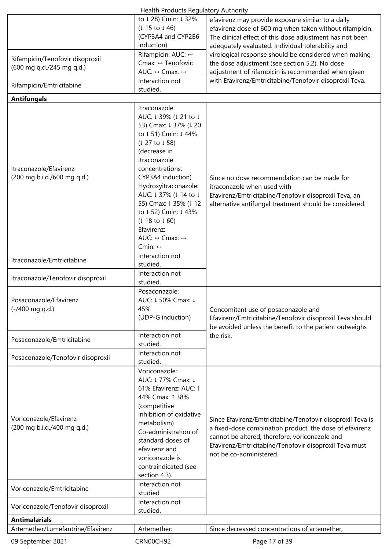|                                                                                                                                                  | <b>Health Products Regulatory Authority</b>                                                                                                                                                                                                                                                                                                                      |                                                                                                                                                                                                                                                              |
|--------------------------------------------------------------------------------------------------------------------------------------------------|------------------------------------------------------------------------------------------------------------------------------------------------------------------------------------------------------------------------------------------------------------------------------------------------------------------------------------------------------------------|--------------------------------------------------------------------------------------------------------------------------------------------------------------------------------------------------------------------------------------------------------------|
|                                                                                                                                                  | to ↓28) Cmin: ↓32%<br>$(115 \text{ to } 146)$<br>(CYP3A4 and CYP2B6<br>induction)                                                                                                                                                                                                                                                                                | efavirenz may provide exposure similar to a daily<br>efavirenz dose of 600 mg when taken without rifampicin.<br>The clinical effect of this dose adjustment has not been<br>adequately evaluated. Individual tolerability and                                |
| Rifampicin/Tenofovir disoproxil<br>(600 mg q.d./245 mg q.d.)                                                                                     | Rifampicin: AUC: ↔<br>Cmax: ↔ Tenofovir:<br>AUC: ↔ Cmax: ↔                                                                                                                                                                                                                                                                                                       | virological response should be considered when making<br>the dose adjustment (see section 5.2). No dose<br>adjustment of rifampicin is recommended when given                                                                                                |
| Rifampicin/Emtricitabine                                                                                                                         | Interaction not<br>studied.                                                                                                                                                                                                                                                                                                                                      | with Efavirenz/Emtricitabine/Tenofovir disoproxil Teva.                                                                                                                                                                                                      |
| <b>Antifungals</b>                                                                                                                               |                                                                                                                                                                                                                                                                                                                                                                  |                                                                                                                                                                                                                                                              |
| Itraconazole/Efavirenz<br>(200 mg b.i.d./600 mg q.d.)                                                                                            | Itraconazole:<br>AUC: ↓39% (↓21 to ↓<br>53) Cmax: 1 37% (1 20<br>to ↓51) Cmin: ↓44%<br>(1 27 to 158)<br>(decrease in<br>itraconazole<br>concentrations:<br>CYP3A4 induction)<br>Hydroxyitraconazole:<br>AUC: ↓37% (↓14 to ↓<br>55) Cmax: 1 35% (1 12<br>to ↓52) Cmin: ↓43%<br>$(118 \text{ to } 160)$<br>Efavirenz:<br>AUC: ↔ Cmax: ↔<br>Cmin: $\leftrightarrow$ | Since no dose recommendation can be made for<br>itraconazole when used with<br>Efavirenz/Emtricitabine/Tenofovir disoproxil Teva, an<br>alternative antifungal treatment should be considered.                                                               |
| Itraconazole/Emtricitabine                                                                                                                       | Interaction not<br>studied.<br>Interaction not                                                                                                                                                                                                                                                                                                                   |                                                                                                                                                                                                                                                              |
| Itraconazole/Tenofovir disoproxil                                                                                                                | studied.                                                                                                                                                                                                                                                                                                                                                         |                                                                                                                                                                                                                                                              |
| Posaconazole/Efavirenz<br>$(-/400 \text{ mg } q.d.)$                                                                                             | Posaconazole:<br>AUC: ↓50% Cmax: ↓<br>45%<br>(UDP-G induction)                                                                                                                                                                                                                                                                                                   | Concomitant use of posaconazole and<br>Efavirenz/Emtricitabine/Tenofovir disoproxil Teva should<br>be avoided unless the benefit to the patient outweighs                                                                                                    |
| Posaconazole/Emtricitabine                                                                                                                       | Interaction not<br>studied.                                                                                                                                                                                                                                                                                                                                      | the risk.                                                                                                                                                                                                                                                    |
| Posaconazole/Tenofovir disoproxil                                                                                                                | Interaction not<br>studied.                                                                                                                                                                                                                                                                                                                                      |                                                                                                                                                                                                                                                              |
| Voriconazole/Efavirenz<br>(200 mg b.i.d./400 mg q.d.)<br>Voriconazole/Emtricitabine<br>Voriconazole/Tenofovir disoproxil<br><b>Antimalarials</b> | Voriconazole:<br>AUC: ↓77% Cmax: ↓<br>61% Efavirenz: AUC: 1<br>44% Cmax: 1 38%<br>(competitive<br>inhibition of oxidative<br>metabolism)<br>Co-administration of<br>standard doses of<br>efavirenz and<br>voriconazole is<br>contraindicated (see<br>section 4.3).<br>Interaction not<br>studied<br>Interaction not<br>studied.                                  | Since Efavirenz/Emtricitabine/Tenofovir disoproxil Teva is<br>a fixed-dose combination product, the dose of efavirenz<br>cannot be altered; therefore, voriconazole and<br>Efavirenz/Emtricitabine/Tenofovir disoproxil Teva must<br>not be co-administered. |
| Artemether/Lumefantrine/Efavirenz                                                                                                                | Artemether:                                                                                                                                                                                                                                                                                                                                                      | Since decreased concentrations of artemether,                                                                                                                                                                                                                |
| 09 September 2021                                                                                                                                | CRN00CH92                                                                                                                                                                                                                                                                                                                                                        | Page 17 of 39                                                                                                                                                                                                                                                |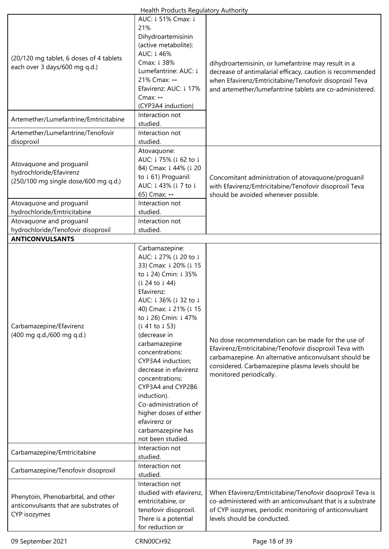|                                                                                                                         | Health Products Regulatory Authority                                                                                                                                                                                                                                                                                                                                                                                                                                            |                                                                                                                                                                                                                                                       |
|-------------------------------------------------------------------------------------------------------------------------|---------------------------------------------------------------------------------------------------------------------------------------------------------------------------------------------------------------------------------------------------------------------------------------------------------------------------------------------------------------------------------------------------------------------------------------------------------------------------------|-------------------------------------------------------------------------------------------------------------------------------------------------------------------------------------------------------------------------------------------------------|
| (20/120 mg tablet, 6 doses of 4 tablets<br>each over 3 days/600 mg q.d.)                                                | AUC: ↓51% Cmax: ↓<br>21%<br>Dihydroartemisinin<br>(active metabolite):<br>AUC: 1 46%<br>Cmax: ↓ 38%<br>Lumefantrine: AUC: ↓<br>21% Cmax: ↔<br>Efavirenz: AUC: ↓17%<br>Cmax: $\leftrightarrow$<br>(CYP3A4 induction)                                                                                                                                                                                                                                                             | dihydroartemisinin, or lumefantrine may result in a<br>decrease of antimalarial efficacy, caution is recommended<br>when Efavirenz/Emtricitabine/Tenofovir disoproxil Teva<br>and artemether/lumefantrine tablets are co-administered.                |
| Artemether/Lumefantrine/Emtricitabine                                                                                   | Interaction not<br>studied.                                                                                                                                                                                                                                                                                                                                                                                                                                                     |                                                                                                                                                                                                                                                       |
| Artemether/Lumefantrine/Tenofovir                                                                                       | Interaction not                                                                                                                                                                                                                                                                                                                                                                                                                                                                 |                                                                                                                                                                                                                                                       |
|                                                                                                                         | studied.                                                                                                                                                                                                                                                                                                                                                                                                                                                                        |                                                                                                                                                                                                                                                       |
| disoproxil                                                                                                              |                                                                                                                                                                                                                                                                                                                                                                                                                                                                                 |                                                                                                                                                                                                                                                       |
| Atovaquone and proguanil<br>hydrochloride/Efavirenz<br>(250/100 mg single dose/600 mg q.d.)<br>Atovaquone and proguanil | Atovaquone:<br>AUC: ↓75% (↓62 to ↓<br>84) Cmax: ↓ 44% (↓ 20<br>to ↓61) Proguanil:<br>AUC: ↓43% (↓7 to ↓<br>65) Cmax: ↔<br>Interaction not                                                                                                                                                                                                                                                                                                                                       | Concomitant administration of atovaquone/proguanil<br>with Efavirenz/Emtricitabine/Tenofovir disoproxil Teva<br>should be avoided whenever possible.                                                                                                  |
| hydrochloride/Emtricitabine                                                                                             | studied.                                                                                                                                                                                                                                                                                                                                                                                                                                                                        |                                                                                                                                                                                                                                                       |
| Atovaquone and proguanil                                                                                                | Interaction not                                                                                                                                                                                                                                                                                                                                                                                                                                                                 |                                                                                                                                                                                                                                                       |
| hydrochloride/Tenofovir disoproxil                                                                                      | studied.                                                                                                                                                                                                                                                                                                                                                                                                                                                                        |                                                                                                                                                                                                                                                       |
| <b>ANTICONVULSANTS</b>                                                                                                  |                                                                                                                                                                                                                                                                                                                                                                                                                                                                                 |                                                                                                                                                                                                                                                       |
| Carbamazepine/Efavirenz<br>(400 mg q.d./600 mg q.d.)                                                                    | Carbamazepine:<br>AUC: ↓27% (↓20 to ↓<br>33) Cmax: 1 20% (1 15<br>to ↓ 24) Cmin: ↓ 35%<br>(124 to 144)<br>Efavirenz:<br>AUC: ↓36% (↓32 to ↓<br>40) Cmax: 1 21% (1 15<br>to ↓26) Cmin: ↓47%<br>(141 to 153)<br>(decrease in<br>carbamazepine<br>concentrations:<br>CYP3A4 induction;<br>decrease in efavirenz<br>concentrations:<br>CYP3A4 and CYP2B6<br>induction).<br>Co-administration of<br>higher doses of either<br>efavirenz or<br>carbamazepine has<br>not been studied. | No dose recommendation can be made for the use of<br>Efavirenz/Emtricitabine/Tenofovir disoproxil Teva with<br>carbamazepine. An alternative anticonvulsant should be<br>considered. Carbamazepine plasma levels should be<br>monitored periodically. |
| Carbamazepine/Emtricitabine                                                                                             | Interaction not<br>studied.                                                                                                                                                                                                                                                                                                                                                                                                                                                     |                                                                                                                                                                                                                                                       |
| Carbamazepine/Tenofovir disoproxil                                                                                      | Interaction not<br>studied.                                                                                                                                                                                                                                                                                                                                                                                                                                                     |                                                                                                                                                                                                                                                       |
| Phenytoin, Phenobarbital, and other<br>anticonvulsants that are substrates of<br>CYP isozymes                           | Interaction not<br>studied with efavirenz,<br>emtricitabine, or<br>tenofovir disoproxil.<br>There is a potential<br>for reduction or                                                                                                                                                                                                                                                                                                                                            | When Efavirenz/Emtricitabine/Tenofovir disoproxil Teva is<br>co-administered with an anticonvulsant that is a substrate<br>of CYP isozymes, periodic monitoring of anticonvulsant<br>levels should be conducted.                                      |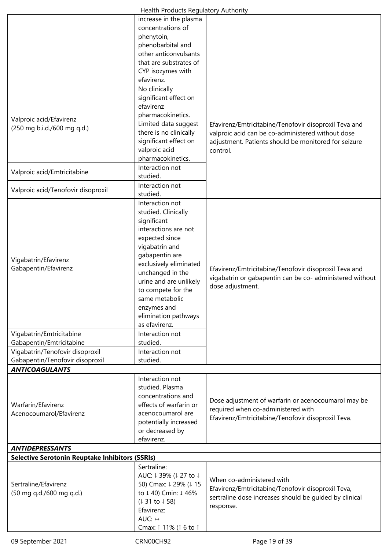|                                                                                                                                         | Health Products Regulatory Authority                                                                                                                                                                                                                                                                                                                          |                                                                                                                                                                                |
|-----------------------------------------------------------------------------------------------------------------------------------------|---------------------------------------------------------------------------------------------------------------------------------------------------------------------------------------------------------------------------------------------------------------------------------------------------------------------------------------------------------------|--------------------------------------------------------------------------------------------------------------------------------------------------------------------------------|
|                                                                                                                                         | increase in the plasma<br>concentrations of<br>phenytoin,<br>phenobarbital and<br>other anticonvulsants<br>that are substrates of<br>CYP isozymes with<br>efavirenz.                                                                                                                                                                                          |                                                                                                                                                                                |
| Valproic acid/Efavirenz<br>(250 mg b.i.d./600 mg q.d.)<br>Valproic acid/Emtricitabine                                                   | No clinically<br>significant effect on<br>efavirenz<br>pharmacokinetics.<br>Limited data suggest<br>there is no clinically<br>significant effect on<br>valproic acid<br>pharmacokinetics.<br>Interaction not<br>studied.                                                                                                                                      | Efavirenz/Emtricitabine/Tenofovir disoproxil Teva and<br>valproic acid can be co-administered without dose<br>adjustment. Patients should be monitored for seizure<br>control. |
| Valproic acid/Tenofovir disoproxil                                                                                                      | Interaction not<br>studied.                                                                                                                                                                                                                                                                                                                                   |                                                                                                                                                                                |
| Vigabatrin/Efavirenz<br>Gabapentin/Efavirenz<br>Vigabatrin/Emtricitabine<br>Gabapentin/Emtricitabine<br>Vigabatrin/Tenofovir disoproxil | Interaction not<br>studied. Clinically<br>significant<br>interactions are not<br>expected since<br>vigabatrin and<br>gabapentin are<br>exclusively eliminated<br>unchanged in the<br>urine and are unlikely<br>to compete for the<br>same metabolic<br>enzymes and<br>elimination pathways<br>as efavirenz.<br>Interaction not<br>studied.<br>Interaction not | Efavirenz/Emtricitabine/Tenofovir disoproxil Teva and<br>vigabatrin or gabapentin can be co- administered without<br>dose adjustment.                                          |
| Gabapentin/Tenofovir disoproxil<br><b>ANTICOAGULANTS</b>                                                                                | studied.                                                                                                                                                                                                                                                                                                                                                      |                                                                                                                                                                                |
| Warfarin/Efavirenz<br>Acenocoumarol/Efavirenz                                                                                           | Interaction not<br>studied. Plasma<br>concentrations and<br>effects of warfarin or<br>acenocoumarol are<br>potentially increased<br>or decreased by<br>efavirenz.                                                                                                                                                                                             | Dose adjustment of warfarin or acenocoumarol may be<br>required when co-administered with<br>Efavirenz/Emtricitabine/Tenofovir disoproxil Teva.                                |
| <b>ANTIDEPRESSANTS</b>                                                                                                                  |                                                                                                                                                                                                                                                                                                                                                               |                                                                                                                                                                                |
| <b>Selective Serotonin Reuptake Inhibitors (SSRIs)</b>                                                                                  |                                                                                                                                                                                                                                                                                                                                                               |                                                                                                                                                                                |
| Sertraline/Efavirenz<br>(50 mg q.d./600 mg q.d.)                                                                                        | Sertraline:<br>AUC: ↓39% (↓27 to ↓<br>50) Cmax: 1 29% (1 15<br>to ↓40) Cmin: ↓46%<br>(131 to 158)<br>Efavirenz:<br>AUC: $\leftrightarrow$<br>Cmax: 1 11% (1 6 to 1                                                                                                                                                                                            | When co-administered with<br>Efavirenz/Emtricitabine/Tenofovir disoproxil Teva,<br>sertraline dose increases should be guided by clinical<br>response.                         |
| 09 September 2021                                                                                                                       | CRN00CH92                                                                                                                                                                                                                                                                                                                                                     | Page 19 of 39                                                                                                                                                                  |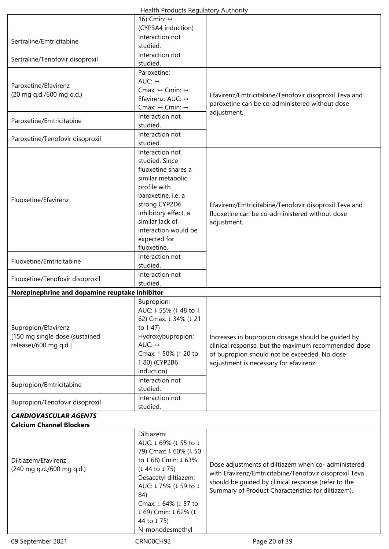| Health Products Regulatory Authority |  |
|--------------------------------------|--|
|--------------------------------------|--|

|                                                | 16) Cmin: ↔<br>(CYP3A4 induction)               |                                                                                                           |
|------------------------------------------------|-------------------------------------------------|-----------------------------------------------------------------------------------------------------------|
|                                                | Interaction not                                 |                                                                                                           |
| Sertraline/Emtricitabine                       | studied.                                        |                                                                                                           |
| Sertraline/Tenofovir disoproxil                | Interaction not                                 |                                                                                                           |
|                                                | studied.<br>Paroxetine:                         |                                                                                                           |
|                                                | AUC: $\leftrightarrow$                          |                                                                                                           |
| Paroxetine/Efavirenz                           | Cmax: $\leftrightarrow$ Cmin: $\leftrightarrow$ |                                                                                                           |
| (20 mg q.d./600 mg q.d.)                       | Efavirenz: AUC: ↔                               | Efavirenz/Emtricitabine/Tenofovir disoproxil Teva and<br>paroxetine can be co-administered without dose   |
|                                                | Cmax: ↔ Cmin: ↔                                 | adjustment.                                                                                               |
| Paroxetine/Emtricitabine                       | Interaction not<br>studied.                     |                                                                                                           |
|                                                | Interaction not                                 |                                                                                                           |
| Paroxetine/Tenofovir disoproxil                | studied.                                        |                                                                                                           |
|                                                | Interaction not                                 |                                                                                                           |
|                                                | studied. Since                                  |                                                                                                           |
|                                                | fluoxetine shares a<br>similar metabolic        |                                                                                                           |
|                                                | profile with                                    |                                                                                                           |
| Fluoxetine/Efavirenz                           | paroxetine, i.e. a                              |                                                                                                           |
|                                                | strong CYP2D6                                   | Efavirenz/Emtricitabine/Tenofovir disoproxil Teva and                                                     |
|                                                | inhibitory effect, a<br>similar lack of         | fluoxetine can be co-administered without dose                                                            |
|                                                | interaction would be                            | adjustment.                                                                                               |
|                                                | expected for                                    |                                                                                                           |
|                                                | fluoxetine.                                     |                                                                                                           |
| Fluoxetine/Emtricitabine                       | Interaction not                                 |                                                                                                           |
|                                                | studied.                                        |                                                                                                           |
| Fluoxetine/Tenofovir disoproxil                | Interaction not<br>studied.                     |                                                                                                           |
| Norepinephrine and dopamine reuptake inhibitor |                                                 |                                                                                                           |
|                                                | Bupropion:                                      |                                                                                                           |
|                                                | AUC: ↓55% (↓48 to ↓<br>62) Cmax: ↓ 34% (↓ 21    |                                                                                                           |
| Bupropion/Efavirenz                            | to $\downarrow$ 47)                             |                                                                                                           |
| [150 mg single dose (sustained                 | Hydroxybupropion:                               | Increases in bupropion dosage should be guided by                                                         |
| release)/600 mg q.d.]                          | AUC: $\leftrightarrow$                          | clinical response, but the maximum recommended dose                                                       |
|                                                | Cmax: 1 50% (1 20 to                            | of bupropion should not be exceeded. No dose                                                              |
|                                                | 1 80) (CYP2B6<br>induction)                     | adjustment is necessary for efavirenz.                                                                    |
|                                                | Interaction not                                 |                                                                                                           |
| Bupropion/Emtricitabine                        | studied.                                        |                                                                                                           |
| Bupropion/Tenofovir disoproxil                 | Interaction not<br>studied.                     |                                                                                                           |
| <b>CARDIOVASCULAR AGENTS</b>                   |                                                 |                                                                                                           |
| <b>Calcium Channel Blockers</b>                |                                                 |                                                                                                           |
|                                                | Diltiazem:                                      |                                                                                                           |
|                                                | AUC: ↓69% (↓55 to ↓                             |                                                                                                           |
| Diltiazem/Efavirenz                            | 79) Cmax: 1 60% (1 50<br>to ↓68) Cmin: ↓63%     |                                                                                                           |
| (240 mg q.d./600 mg q.d.)                      | $(144$ to $175)$                                | Dose adjustments of diltiazem when co- administered                                                       |
|                                                | Desacetyl diltiazem:                            | with Efavirenz/Emtricitabine/Tenofovir disoproxil Teva                                                    |
|                                                | AUC: ↓75% (↓59 to ↓                             | should be guided by clinical response (refer to the<br>Summary of Product Characteristics for diltiazem). |
|                                                | 84)                                             |                                                                                                           |
|                                                | Cmax: ↓ 64% (↓ 57 to                            |                                                                                                           |
|                                                | ↓ 69) Cmin: ↓ 62% (↓<br>44 to 175)              |                                                                                                           |
|                                                | N-monodesmethyl                                 |                                                                                                           |
| 09 September 2021                              | CRN00CH92                                       | Page 20 of 39                                                                                             |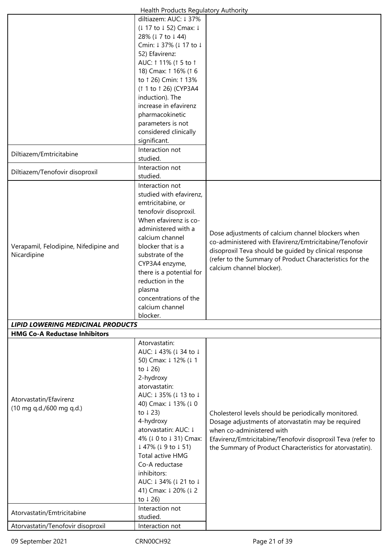|                                          | Health Products Regulatory Authority |                                                             |
|------------------------------------------|--------------------------------------|-------------------------------------------------------------|
|                                          | diltiazem: AUC: ↓37%                 |                                                             |
|                                          | (↓ 17 to ↓ 52) Cmax: ↓               |                                                             |
|                                          | 28% (↓7 to ↓44)                      |                                                             |
|                                          | Cmin: ↓ 37% (↓ 17 to ↓               |                                                             |
|                                          | 52) Efavirenz:                       |                                                             |
|                                          | AUC: 1 11% (1 5 to 1                 |                                                             |
|                                          | 18) Cmax: 1 16% (1 6                 |                                                             |
|                                          | to 1 26) Cmin: 1 13%                 |                                                             |
|                                          | (1 1 to 1 26) (CYP3A4                |                                                             |
|                                          | induction). The                      |                                                             |
|                                          | increase in efavirenz                |                                                             |
|                                          | pharmacokinetic                      |                                                             |
|                                          | parameters is not                    |                                                             |
|                                          | considered clinically                |                                                             |
|                                          | significant.                         |                                                             |
|                                          | Interaction not                      |                                                             |
| Diltiazem/Emtricitabine                  | studied.                             |                                                             |
|                                          |                                      |                                                             |
| Diltiazem/Tenofovir disoproxil           | Interaction not<br>studied.          |                                                             |
|                                          |                                      |                                                             |
|                                          | Interaction not                      |                                                             |
|                                          | studied with efavirenz,              |                                                             |
|                                          | emtricitabine, or                    |                                                             |
|                                          | tenofovir disoproxil.                |                                                             |
|                                          | When efavirenz is co-                |                                                             |
|                                          | administered with a                  | Dose adjustments of calcium channel blockers when           |
|                                          | calcium channel                      | co-administered with Efavirenz/Emtricitabine/Tenofovir      |
| Verapamil, Felodipine, Nifedipine and    | blocker that is a                    | disoproxil Teva should be guided by clinical response       |
| Nicardipine                              | substrate of the                     | (refer to the Summary of Product Characteristics for the    |
|                                          | CYP3A4 enzyme,                       | calcium channel blocker).                                   |
|                                          | there is a potential for             |                                                             |
|                                          | reduction in the                     |                                                             |
|                                          | plasma                               |                                                             |
|                                          | concentrations of the                |                                                             |
|                                          | calcium channel                      |                                                             |
|                                          | blocker.                             |                                                             |
| <b>LIPID LOWERING MEDICINAL PRODUCTS</b> |                                      |                                                             |
| <b>HMG Co-A Reductase Inhibitors</b>     |                                      |                                                             |
|                                          | Atorvastatin:                        |                                                             |
|                                          | AUC: ↓43% (↓34 to ↓                  |                                                             |
|                                          | 50) Cmax: ↓ 12% (↓ 1                 |                                                             |
|                                          | to $\downarrow$ 26)                  |                                                             |
|                                          | 2-hydroxy                            |                                                             |
|                                          | atorvastatin:                        |                                                             |
| Atorvastatin/Efavirenz                   | AUC: ↓35% (↓13 to ↓                  |                                                             |
| (10 mg q.d./600 mg q.d.)                 | 40) Cmax: 1 13% (10                  |                                                             |
|                                          | to $\downarrow$ 23)                  | Cholesterol levels should be periodically monitored.        |
|                                          | 4-hydroxy                            | Dosage adjustments of atorvastatin may be required          |
|                                          | atorvastatin: AUC: ↓                 | when co-administered with                                   |
|                                          | 4% (↓ 0 to ↓ 31) Cmax:               | Efavirenz/Emtricitabine/Tenofovir disoproxil Teva (refer to |
|                                          | ↓ 47% (↓ 9 to ↓ 51)                  | the Summary of Product Characteristics for atorvastatin).   |
|                                          | Total active HMG                     |                                                             |
|                                          | Co-A reductase                       |                                                             |
|                                          | inhibitors:                          |                                                             |
|                                          | AUC: ↓34% (↓21 to ↓                  |                                                             |
|                                          | 41) Cmax: 1 20% (1 2                 |                                                             |
|                                          | to $\downarrow$ 26)                  |                                                             |
|                                          | Interaction not                      |                                                             |
| Atorvastatin/Emtricitabine               | studied.                             |                                                             |
| Atorvastatin/Tenofovir disoproxil        | Interaction not                      |                                                             |
|                                          |                                      |                                                             |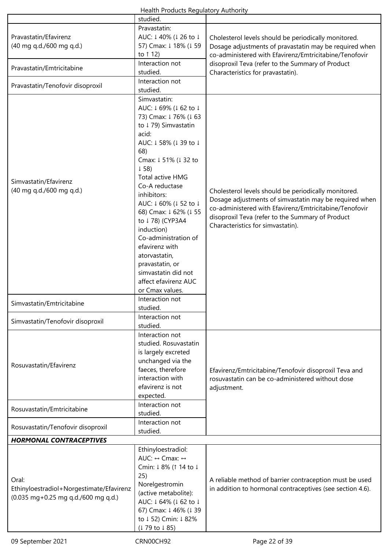| Health Products Regulatory Authority                                                     |                         |                                                           |  |
|------------------------------------------------------------------------------------------|-------------------------|-----------------------------------------------------------|--|
|                                                                                          | studied.                |                                                           |  |
|                                                                                          | Pravastatin:            |                                                           |  |
| Pravastatin/Efavirenz                                                                    | AUC: ↓40% (↓26 to ↓     | Cholesterol levels should be periodically monitored.      |  |
| (40 mg q.d./600 mg q.d.)                                                                 | 57) Cmax: ↓ 18% (↓ 59   | Dosage adjustments of pravastatin may be required when    |  |
|                                                                                          | to 1 12)                | co-administered with Efavirenz/Emtricitabine/Tenofovir    |  |
|                                                                                          | Interaction not         | disoproxil Teva (refer to the Summary of Product          |  |
| Pravastatin/Emtricitabine                                                                | studied.                | Characteristics for pravastatin).                         |  |
|                                                                                          | Interaction not         |                                                           |  |
| Pravastatin/Tenofovir disoproxil                                                         | studied.                |                                                           |  |
|                                                                                          | Simvastatin:            |                                                           |  |
|                                                                                          |                         |                                                           |  |
|                                                                                          | AUC: ↓69% (↓62 to ↓     |                                                           |  |
|                                                                                          | 73) Cmax: ↓76% (↓63     |                                                           |  |
|                                                                                          | to ↓79) Simvastatin     |                                                           |  |
|                                                                                          | acid:                   |                                                           |  |
|                                                                                          | AUC: ↓58% (↓39 to ↓     |                                                           |  |
|                                                                                          | 68)                     |                                                           |  |
|                                                                                          | Cmax: ↓51% (↓32 to      |                                                           |  |
|                                                                                          | $\downarrow$ 58)        |                                                           |  |
| Simvastatin/Efavirenz                                                                    | Total active HMG        |                                                           |  |
| (40 mg q.d./600 mg q.d.)                                                                 | Co-A reductase          | Cholesterol levels should be periodically monitored.      |  |
|                                                                                          | inhibitors:             | Dosage adjustments of simvastatin may be required when    |  |
|                                                                                          | AUC: ↓60% (↓52 to ↓     | co-administered with Efavirenz/Emtricitabine/Tenofovir    |  |
|                                                                                          | 68) Cmax: ↓ 62% (↓ 55   | disoproxil Teva (refer to the Summary of Product          |  |
|                                                                                          | to ↓78) (CYP3A4         |                                                           |  |
|                                                                                          | induction)              | Characteristics for simvastatin).                         |  |
|                                                                                          | Co-administration of    |                                                           |  |
|                                                                                          | efavirenz with          |                                                           |  |
|                                                                                          | atorvastatin,           |                                                           |  |
|                                                                                          | pravastatin, or         |                                                           |  |
|                                                                                          | simvastatin did not     |                                                           |  |
|                                                                                          | affect efavirenz AUC    |                                                           |  |
|                                                                                          | or Cmax values.         |                                                           |  |
|                                                                                          | Interaction not         |                                                           |  |
| Simvastatin/Emtricitabine                                                                | studied.                |                                                           |  |
|                                                                                          | Interaction not         |                                                           |  |
| Simvastatin/Tenofovir disoproxil                                                         | studied.                |                                                           |  |
|                                                                                          | Interaction not         |                                                           |  |
|                                                                                          | studied. Rosuvastatin   |                                                           |  |
|                                                                                          | is largely excreted     |                                                           |  |
|                                                                                          | unchanged via the       |                                                           |  |
| Rosuvastatin/Efavirenz                                                                   | faeces, therefore       | Efavirenz/Emtricitabine/Tenofovir disoproxil Teva and     |  |
|                                                                                          | interaction with        | rosuvastatin can be co-administered without dose          |  |
|                                                                                          | efavirenz is not        | adjustment.                                               |  |
|                                                                                          | expected.               |                                                           |  |
|                                                                                          | Interaction not         |                                                           |  |
| Rosuvastatin/Emtricitabine                                                               | studied.                |                                                           |  |
|                                                                                          | Interaction not         |                                                           |  |
| Rosuvastatin/Tenofovir disoproxil                                                        | studied.                |                                                           |  |
| <b>HORMONAL CONTRACEPTIVES</b>                                                           |                         |                                                           |  |
|                                                                                          |                         |                                                           |  |
|                                                                                          | Ethinyloestradiol:      |                                                           |  |
|                                                                                          | AUC: ↔ Cmax: ↔          |                                                           |  |
|                                                                                          | Cmin: ↓8% (↑14 to ↓     |                                                           |  |
| Oral:<br>Ethinyloestradiol+Norgestimate/Efavirenz<br>(0.035 mg+0.25 mg q.d./600 mg q.d.) | 25)                     | A reliable method of barrier contraception must be used   |  |
|                                                                                          | Norelgestromin          | in addition to hormonal contraceptives (see section 4.6). |  |
|                                                                                          | (active metabolite):    |                                                           |  |
|                                                                                          | AUC: ↓64% (↓62 to ↓     |                                                           |  |
|                                                                                          | 67) Cmax: 1 46% (1 39   |                                                           |  |
|                                                                                          | to ↓52) Cmin: ↓82%      |                                                           |  |
|                                                                                          | $(179 \text{ to } 185)$ |                                                           |  |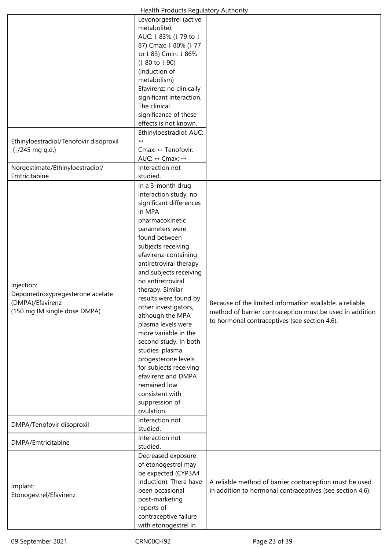| Health Products Regulatory Authority   |                                          |                                                           |  |
|----------------------------------------|------------------------------------------|-----------------------------------------------------------|--|
|                                        | Levonorgestrel (active                   |                                                           |  |
|                                        | metabolite):                             |                                                           |  |
|                                        | AUC: ↓83% (↓79 to ↓                      |                                                           |  |
|                                        | 87) Cmax: 1 80% (177                     |                                                           |  |
|                                        | to ↓83) Cmin: ↓86%                       |                                                           |  |
|                                        | $(180 \text{ to } 190)$                  |                                                           |  |
|                                        | (induction of                            |                                                           |  |
|                                        | metabolism)                              |                                                           |  |
|                                        | Efavirenz: no clinically                 |                                                           |  |
|                                        | significant interaction.                 |                                                           |  |
|                                        | The clinical                             |                                                           |  |
|                                        | significance of these                    |                                                           |  |
|                                        | effects is not known.                    |                                                           |  |
|                                        | Ethinyloestradiol: AUC:                  |                                                           |  |
| Ethinyloestradiol/Tenofovir disoproxil | $\leftrightarrow$                        |                                                           |  |
| (-/245 mg q.d.)                        | Cmax: ↔ Tenofovir:                       |                                                           |  |
|                                        | AUC: ↔ Cmax: ↔                           |                                                           |  |
| Norgestimate/Ethinyloestradiol/        | Interaction not                          |                                                           |  |
| Emtricitabine                          | studied.                                 |                                                           |  |
|                                        | In a 3-month drug                        |                                                           |  |
|                                        | interaction study, no                    |                                                           |  |
|                                        | significant differences                  |                                                           |  |
|                                        | in MPA                                   |                                                           |  |
|                                        | pharmacokinetic                          |                                                           |  |
|                                        | parameters were                          |                                                           |  |
|                                        | found between                            |                                                           |  |
|                                        | subjects receiving                       |                                                           |  |
|                                        | efavirenz-containing                     |                                                           |  |
|                                        | antiretroviral therapy                   |                                                           |  |
|                                        | and subjects receiving                   |                                                           |  |
|                                        | no antiretroviral                        |                                                           |  |
| Injection:                             | therapy. Similar                         |                                                           |  |
| Depomedroxypregesterone acetate        | results were found by                    |                                                           |  |
| (DMPA)/Efavirenz                       |                                          | Because of the limited information available, a reliable  |  |
| (150 mg IM single dose DMPA)           | other investigators,<br>although the MPA | method of barrier contraception must be used in addition  |  |
|                                        | plasma levels were                       | to hormonal contraceptives (see section 4.6).             |  |
|                                        | more variable in the                     |                                                           |  |
|                                        | second study. In both                    |                                                           |  |
|                                        | studies, plasma                          |                                                           |  |
|                                        | progesterone levels                      |                                                           |  |
|                                        | for subjects receiving                   |                                                           |  |
|                                        | efavirenz and DMPA                       |                                                           |  |
|                                        | remained low                             |                                                           |  |
|                                        | consistent with                          |                                                           |  |
|                                        | suppression of                           |                                                           |  |
|                                        | ovulation.                               |                                                           |  |
|                                        | Interaction not                          |                                                           |  |
| DMPA/Tenofovir disoproxil              | studied.                                 |                                                           |  |
|                                        | Interaction not                          |                                                           |  |
| DMPA/Emtricitabine                     | studied.                                 |                                                           |  |
|                                        | Decreased exposure                       |                                                           |  |
|                                        | of etonogestrel may                      |                                                           |  |
|                                        | be expected (CYP3A4                      |                                                           |  |
|                                        | induction). There have                   | A reliable method of barrier contraception must be used   |  |
| Implant:                               | been occasional                          | in addition to hormonal contraceptives (see section 4.6). |  |
| Etonogestrel/Efavirenz                 | post-marketing                           |                                                           |  |
|                                        | reports of                               |                                                           |  |
|                                        | contraceptive failure                    |                                                           |  |
|                                        | with etonogestrel in                     |                                                           |  |
|                                        |                                          |                                                           |  |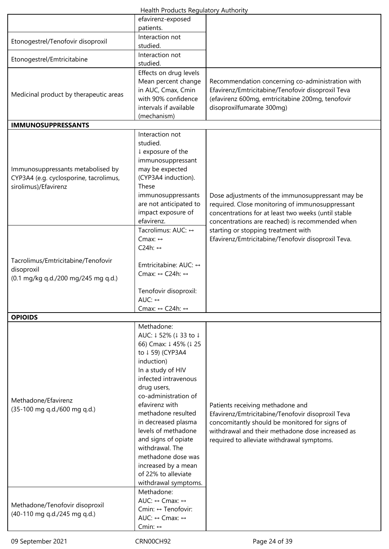| Health Products Regulatory Authority |  |
|--------------------------------------|--|
|--------------------------------------|--|

|                                                                | ricaith riodacts negalatory natholite           |                                                                                                       |
|----------------------------------------------------------------|-------------------------------------------------|-------------------------------------------------------------------------------------------------------|
|                                                                | efavirenz-exposed                               |                                                                                                       |
|                                                                | patients.<br>Interaction not                    |                                                                                                       |
| Etonogestrel/Tenofovir disoproxil                              | studied.                                        |                                                                                                       |
|                                                                | Interaction not                                 |                                                                                                       |
| Etonogestrel/Emtricitabine                                     | studied.                                        |                                                                                                       |
|                                                                |                                                 |                                                                                                       |
|                                                                | Effects on drug levels                          |                                                                                                       |
|                                                                | Mean percent change<br>in AUC, Cmax, Cmin       | Recommendation concerning co-administration with<br>Efavirenz/Emtricitabine/Tenofovir disoproxil Teva |
| Medicinal product by therapeutic areas                         | with 90% confidence                             |                                                                                                       |
|                                                                | intervals if available                          | (efavirenz 600mg, emtricitabine 200mg, tenofovir<br>disoproxilfumarate 300mg)                         |
|                                                                | (mechanism)                                     |                                                                                                       |
| <b>IMMUNOSUPPRESSANTS</b>                                      |                                                 |                                                                                                       |
|                                                                | Interaction not                                 |                                                                                                       |
|                                                                | studied.                                        |                                                                                                       |
|                                                                | ↓ exposure of the                               |                                                                                                       |
|                                                                | immunosuppressant                               |                                                                                                       |
| Immunosuppressants metabolised by                              | may be expected                                 |                                                                                                       |
| CYP3A4 (e.g. cyclosporine, tacrolimus,                         | (CYP3A4 induction).                             |                                                                                                       |
| sirolimus)/Efavirenz                                           | These                                           |                                                                                                       |
|                                                                | immunosuppressants                              | Dose adjustments of the immunosuppressant may be                                                      |
|                                                                | are not anticipated to                          | required. Close monitoring of immunosuppressant                                                       |
|                                                                | impact exposure of                              | concentrations for at least two weeks (until stable                                                   |
|                                                                | efavirenz.                                      | concentrations are reached) is recommended when                                                       |
|                                                                | Tacrolimus: AUC: ↔                              | starting or stopping treatment with                                                                   |
|                                                                | Cmax: $\leftrightarrow$                         | Efavirenz/Emtricitabine/Tenofovir disoproxil Teva.                                                    |
|                                                                | C24h: $\leftrightarrow$                         |                                                                                                       |
| Tacrolimus/Emtricitabine/Tenofovir                             |                                                 |                                                                                                       |
| disoproxil                                                     | Emtricitabine: AUC: ↔                           |                                                                                                       |
| (0.1 mg/kg q.d./200 mg/245 mg q.d.)                            | Cmax: $\leftrightarrow$ C24h: $\leftrightarrow$ |                                                                                                       |
|                                                                |                                                 |                                                                                                       |
|                                                                | Tenofovir disoproxil:                           |                                                                                                       |
|                                                                | AUC: ↔                                          |                                                                                                       |
|                                                                | Cmax: $\leftrightarrow$ C24h: $\leftrightarrow$ |                                                                                                       |
| <b>OPIOIDS</b>                                                 |                                                 |                                                                                                       |
|                                                                | Methadone:                                      |                                                                                                       |
|                                                                | AUC: ↓52% (↓33 to ↓                             |                                                                                                       |
|                                                                | 66) Cmax: 1 45% (1 25                           |                                                                                                       |
|                                                                | to ↓59) (CYP3A4<br>induction)                   |                                                                                                       |
|                                                                | In a study of HIV                               |                                                                                                       |
|                                                                | infected intravenous                            |                                                                                                       |
|                                                                | drug users,                                     |                                                                                                       |
|                                                                | co-administration of                            |                                                                                                       |
| Methadone/Efavirenz                                            | efavirenz with                                  | Patients receiving methadone and                                                                      |
| (35-100 mg q.d./600 mg q.d.)                                   | methadone resulted                              | Efavirenz/Emtricitabine/Tenofovir disoproxil Teva                                                     |
|                                                                | in decreased plasma                             | concomitantly should be monitored for signs of                                                        |
|                                                                | levels of methadone                             | withdrawal and their methadone dose increased as                                                      |
|                                                                | and signs of opiate                             | required to alleviate withdrawal symptoms.                                                            |
|                                                                | withdrawal. The                                 |                                                                                                       |
|                                                                | methadone dose was                              |                                                                                                       |
|                                                                | increased by a mean                             |                                                                                                       |
|                                                                | of 22% to alleviate                             |                                                                                                       |
|                                                                | withdrawal symptoms.                            |                                                                                                       |
|                                                                | Methadone:                                      |                                                                                                       |
| Methadone/Tenofovir disoproxil<br>(40-110 mg q.d./245 mg q.d.) | AUC: ↔ Cmax: ↔                                  |                                                                                                       |
|                                                                | Cmin: ↔ Tenofovir:                              |                                                                                                       |
|                                                                | AUC: $\leftrightarrow$ Cmax: $\leftrightarrow$  |                                                                                                       |
|                                                                | Cmin: $\leftrightarrow$                         |                                                                                                       |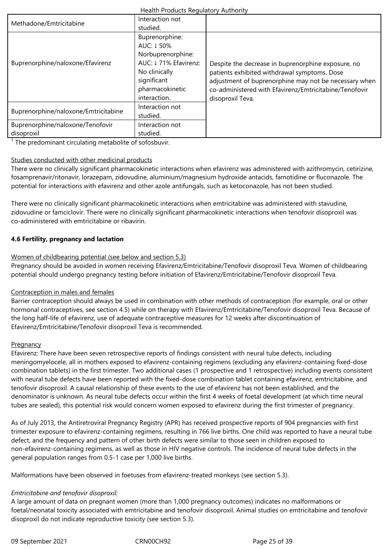| Health Products Regulatory Authority           |                                                                                                                                              |                                                                                                                                                                                                                                           |  |
|------------------------------------------------|----------------------------------------------------------------------------------------------------------------------------------------------|-------------------------------------------------------------------------------------------------------------------------------------------------------------------------------------------------------------------------------------------|--|
| Methadone/Emtricitabine                        | Interaction not<br>studied.                                                                                                                  |                                                                                                                                                                                                                                           |  |
| Buprenorphine/naloxone/Efavirenz               | Buprenorphine:<br>AUC: 1 50%<br>Norbuprenorphine:<br>AUC: ↓71% Efavirenz:<br>No clinically<br>significant<br>pharmacokinetic<br>interaction. | Despite the decrease in buprenorphine exposure, no<br>patients exhibited withdrawal symptoms. Dose<br>adjustment of buprenorphine may not be necessary when<br>co-administered with Efavirenz/Emtricitabine/Tenofovir<br>disoproxil Teva. |  |
| Buprenorphine/naloxone/Emtricitabine           | Interaction not<br>studied.                                                                                                                  |                                                                                                                                                                                                                                           |  |
| Buprenorphine/naloxone/Tenofovir<br>disoproxil | Interaction not<br>studied.                                                                                                                  |                                                                                                                                                                                                                                           |  |

<sup>1</sup> The predominant circulating metabolite of sofosbuvir.

## Studies conducted with other medicinal products

There were no clinically significant pharmacokinetic interactions when efavirenz was administered with azithromycin, cetirizine, fosamprenavir/ritonavir, lorazepam, zidovudine, aluminium/magnesium hydroxide antacids, famotidine or fluconazole. The potential for interactions with efavirenz and other azole antifungals, such as ketoconazole, has not been studied.

There were no clinically significant pharmacokinetic interactions when emtricitabine was administered with stavudine, zidovudine or famciclovir. There were no clinically significant pharmacokinetic interactions when tenofovir disoproxil was co-administered with emtricitabine or ribavirin.

# **4.6 Fertility, pregnancy and lactation**

## Women of childbearing potential (see below and section 5.3)

Pregnancy should be avoided in women receiving Efavirenz/Emtricitabine/Tenofovir disoproxil Teva. Women of childbearing potential should undergo pregnancy testing before initiation of Efavirenz/Emtricitabine/Tenofovir disoproxil Teva.

## Contraception in males and females

Barrier contraception should always be used in combination with other methods of contraception (for example, oral or other hormonal contraceptives, see section 4.5) while on therapy with Efavirenz/Emtricitabine/Tenofovir disoproxil Teva. Because of the long half-life of efavirenz, use of adequate contraceptive measures for 12 weeks after discontinuation of Efavirenz/Emtricitabine/Tenofovir disoproxil Teva is recommended.

## **Pregnancy**

Efavirenz: There have been seven retrospective reports of findings consistent with neural tube defects, including meningomyelocele, all in mothers exposed to efavirenz-containing regimens (excluding any efavirenz-containing fixed-dose combination tablets) in the first trimester. Two additional cases (1 prospective and 1 retrospective) including events consistent with neural tube defects have been reported with the fixed-dose combination tablet containing efavirenz, emtricitabine, and tenofovir disoproxil. A causal relationship of these events to the use of efavirenz has not been established, and the denominator is unknown. As neural tube defects occur within the first 4 weeks of foetal development (at which time neural tubes are sealed), this potential risk would concern women exposed to efavirenz during the first trimester of pregnancy.

As of July 2013, the Antiretroviral Pregnancy Registry (APR) has received prospective reports of 904 pregnancies with first trimester exposure to efavirenz-containing regimens, resulting in 766 live births. One child was reported to have a neural tube defect, and the frequency and pattern of other birth defects were similar to those seen in children exposed to non-efavirenz-containing regimens, as well as those in HIV negative controls. The incidence of neural tube defects in the general population ranges from 0.5-1 case per 1,000 live births.

Malformations have been observed in foetuses from efavirenz-treated monkeys (see section 5.3).

# *Emtricitabine and tenofovir disoproxil:*

A large amount of data on pregnant women (more than 1,000 pregnancy outcomes) indicates no malformations or foetal/neonatal toxicity associated with emtricitabine and tenofovir disoproxil. Animal studies on emtricitabine and tenofovir disoproxil do not indicate reproductive toxicity (see section 5.3).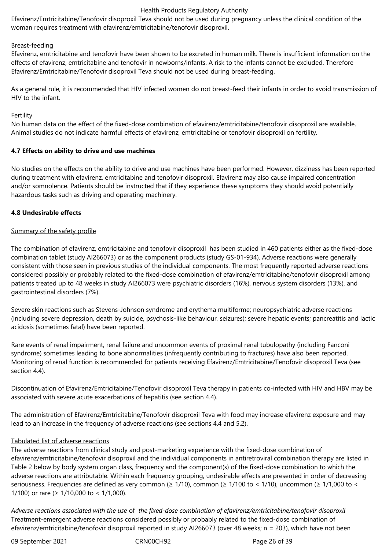Efavirenz/Emtricitabine/Tenofovir disoproxil Teva should not be used during pregnancy unless the clinical condition of the woman requires treatment with efavirenz/emtricitabine/tenofovir disoproxil.

## Breast-feeding

Efavirenz, emtricitabine and tenofovir have been shown to be excreted in human milk. There is insufficient information on the effects of efavirenz, emtricitabine and tenofovir in newborns/infants. A risk to the infants cannot be excluded. Therefore Efavirenz/Emtricitabine/Tenofovir disoproxil Teva should not be used during breast-feeding.

As a general rule, it is recommended that HIV infected women do not breast-feed their infants in order to avoid transmission of HIV to the infant.

## Fertility

No human data on the effect of the fixed-dose combination of efavirenz/emtricitabine/tenofovir disoproxil are available. Animal studies do not indicate harmful effects of efavirenz, emtricitabine or tenofovir disoproxil on fertility.

## **4.7 Effects on ability to drive and use machines**

No studies on the effects on the ability to drive and use machines have been performed. However, dizziness has been reported during treatment with efavirenz, emtricitabine and tenofovir disoproxil. Efavirenz may also cause impaired concentration and/or somnolence. Patients should be instructed that if they experience these symptoms they should avoid potentially hazardous tasks such as driving and operating machinery.

## **4.8 Undesirable effects**

## Summary of the safety profile

The combination of efavirenz, emtricitabine and tenofovir disoproxil has been studied in 460 patients either as the fixed-dose combination tablet (study AI266073) or as the component products (study GS-01-934). Adverse reactions were generally consistent with those seen in previous studies of the individual components. The most frequently reported adverse reactions considered possibly or probably related to the fixed-dose combination of efavirenz/emtricitabine/tenofovir disoproxil among patients treated up to 48 weeks in study AI266073 were psychiatric disorders (16%), nervous system disorders (13%), and gastrointestinal disorders (7%).

Severe skin reactions such as Stevens-Johnson syndrome and erythema multiforme; neuropsychiatric adverse reactions (including severe depression, death by suicide, psychosis-like behaviour, seizures); severe hepatic events; pancreatitis and lactic acidosis (sometimes fatal) have been reported.

Rare events of renal impairment, renal failure and uncommon events of proximal renal tubulopathy (including Fanconi syndrome) sometimes leading to bone abnormalities (infrequently contributing to fractures) have also been reported. Monitoring of renal function is recommended for patients receiving Efavirenz/Emtricitabine/Tenofovir disoproxil Teva (see section 4.4).

Discontinuation of Efavirenz/Emtricitabine/Tenofovir disoproxil Teva therapy in patients co-infected with HIV and HBV may be associated with severe acute exacerbations of hepatitis (see section 4.4).

The administration of Efavirenz/Emtricitabine/Tenofovir disoproxil Teva with food may increase efavirenz exposure and may lead to an increase in the frequency of adverse reactions (see sections 4.4 and 5.2).

## Tabulated list of adverse reactions

The adverse reactions from clinical study and post-marketing experience with the fixed-dose combination of efavirenz/emtricitabine/tenofovir disoproxil and the individual components in antiretroviral combination therapy are listed in Table 2 below by body system organ class, frequency and the component(s) of the fixed-dose combination to which the adverse reactions are attributable. Within each frequency grouping, undesirable effects are presented in order of decreasing seriousness. Frequencies are defined as very common (≥ 1/10), common (≥ 1/100 to < 1/10), uncommon (≥ 1/1,000 to < 1/100) or rare ( $\geq 1/10,000$  to < 1/1,000).

*Adverse reactions associated with the use* of *the fixed-dose combination of efavirenz/emtricitabine/tenofovir disoproxil* Treatment-emergent adverse reactions considered possibly or probably related to the fixed-dose combination of efavirenz/emtricitabine/tenofovir disoproxil reported in study AI266073 (over 48 weeks; n = 203), which have not been

09 September 2021 CRN00CH92 Page 26 of 39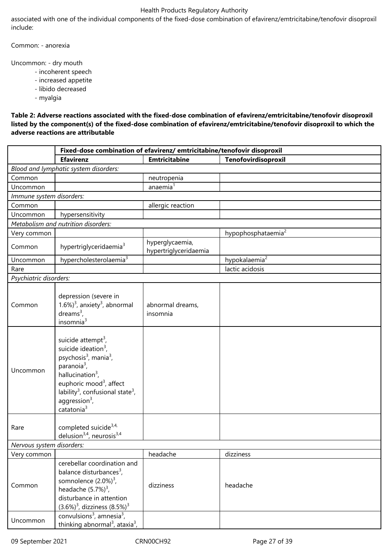associated with one of the individual components of the fixed-dose combination of efavirenz/emtricitabine/tenofovir disoproxil include:

Common: - anorexia

Uncommon: - dry mouth

- incoherent speech
- increased appetite
- libido decreased

- myalgia

**Table 2: Adverse reactions associated with the fixed-dose combination of efavirenz/emtricitabine/tenofovir disoproxil listed by the component(s) of the fixed-dose combination of efavirenz/emtricitabine/tenofovir disoproxil to which the adverse reactions are attributable**

|                           | Fixed-dose combination of efavirenz/ emtricitabine/tenofovir disoproxil                                                                                                                                                                                                                                      |                                          |                                |  |  |
|---------------------------|--------------------------------------------------------------------------------------------------------------------------------------------------------------------------------------------------------------------------------------------------------------------------------------------------------------|------------------------------------------|--------------------------------|--|--|
|                           | <b>Efavirenz</b>                                                                                                                                                                                                                                                                                             | <b>Emtricitabine</b>                     | Tenofovirdisoproxil            |  |  |
|                           | Blood and lymphatic system disorders:                                                                                                                                                                                                                                                                        |                                          |                                |  |  |
| Common                    |                                                                                                                                                                                                                                                                                                              | neutropenia                              |                                |  |  |
| Uncommon                  |                                                                                                                                                                                                                                                                                                              | anaemia <sup>1</sup>                     |                                |  |  |
| Immune system disorders:  |                                                                                                                                                                                                                                                                                                              |                                          |                                |  |  |
| Common                    |                                                                                                                                                                                                                                                                                                              | allergic reaction                        |                                |  |  |
| Uncommon                  | hypersensitivity                                                                                                                                                                                                                                                                                             |                                          |                                |  |  |
|                           | Metabolism and nutrition disorders:                                                                                                                                                                                                                                                                          |                                          |                                |  |  |
| Very common               |                                                                                                                                                                                                                                                                                                              |                                          | hypophosphataemia <sup>2</sup> |  |  |
| Common                    | hypertriglyceridaemia <sup>3</sup>                                                                                                                                                                                                                                                                           | hyperglycaemia,<br>hypertriglyceridaemia |                                |  |  |
| Uncommon                  | hypercholesterolaemia <sup>3</sup>                                                                                                                                                                                                                                                                           |                                          | hypokalaemia <sup>2</sup>      |  |  |
| Rare                      |                                                                                                                                                                                                                                                                                                              |                                          | lactic acidosis                |  |  |
| Psychiatric disorders:    |                                                                                                                                                                                                                                                                                                              |                                          |                                |  |  |
| Common                    | depression (severe in<br>1.6%) $3$ , anxiety $3$ , abnormal<br>dreams <sup>3</sup> ,<br>insomnia <sup>3</sup>                                                                                                                                                                                                | abnormal dreams,<br>insomnia             |                                |  |  |
| Uncommon                  | suicide attempt <sup>3</sup> ,<br>suicide ideation $3$ ,<br>psychosis <sup>3</sup> , mania <sup>3</sup> ,<br>paranoia <sup>3</sup> ,<br>hallucination $3$ ,<br>euphoric mood <sup>3</sup> , affect<br>lability <sup>3</sup> , confusional state <sup>3</sup> ,<br>aggression $3$ ,<br>catatonia <sup>3</sup> |                                          |                                |  |  |
| Rare                      | completed suicide <sup>3,4,</sup><br>delusion <sup>3,4</sup> , neurosis <sup>3,4</sup>                                                                                                                                                                                                                       |                                          |                                |  |  |
| Nervous system disorders: |                                                                                                                                                                                                                                                                                                              |                                          |                                |  |  |
| Very common               |                                                                                                                                                                                                                                                                                                              | headache                                 | dizziness                      |  |  |
| Common                    | cerebellar coordination and<br>balance disturbances <sup>3</sup> ,<br>somnolence $(2.0\%)^3$ ,<br>headache $(5.7%)^3$ ,<br>disturbance in attention<br>$(3.6\%)^3$ , dizziness $(8.5\%)^3$                                                                                                                   | dizziness                                | headache                       |  |  |
| Uncommon                  | convulsions <sup>3</sup> , amnesia <sup>3</sup> ,<br>thinking abnormal <sup>3</sup> , ataxia <sup>3</sup> ,                                                                                                                                                                                                  |                                          |                                |  |  |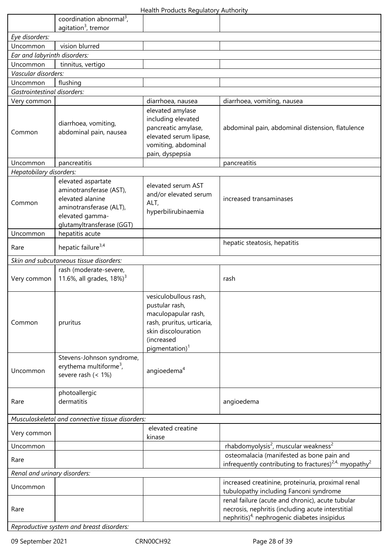|                                                  | coordination abnormal <sup>3</sup> ,<br>agitation <sup>3</sup> , tremor                                                                      |                                                                                                                                                                 |                                                                                                                                                                     |
|--------------------------------------------------|----------------------------------------------------------------------------------------------------------------------------------------------|-----------------------------------------------------------------------------------------------------------------------------------------------------------------|---------------------------------------------------------------------------------------------------------------------------------------------------------------------|
| Eye disorders:                                   |                                                                                                                                              |                                                                                                                                                                 |                                                                                                                                                                     |
| Uncommon                                         | vision blurred                                                                                                                               |                                                                                                                                                                 |                                                                                                                                                                     |
| Ear and labyrinth disorders:                     |                                                                                                                                              |                                                                                                                                                                 |                                                                                                                                                                     |
| Uncommon                                         | tinnitus, vertigo                                                                                                                            |                                                                                                                                                                 |                                                                                                                                                                     |
| Vascular disorders:                              |                                                                                                                                              |                                                                                                                                                                 |                                                                                                                                                                     |
| Uncommon                                         | flushing                                                                                                                                     |                                                                                                                                                                 |                                                                                                                                                                     |
| <b>Gastrointestinal disorders:</b>               |                                                                                                                                              |                                                                                                                                                                 |                                                                                                                                                                     |
| Very common                                      |                                                                                                                                              | diarrhoea, nausea                                                                                                                                               | diarrhoea, vomiting, nausea                                                                                                                                         |
| Common                                           | diarrhoea, vomiting,<br>abdominal pain, nausea                                                                                               | elevated amylase<br>including elevated<br>pancreatic amylase,<br>elevated serum lipase,<br>vomiting, abdominal<br>pain, dyspepsia                               | abdominal pain, abdominal distension, flatulence                                                                                                                    |
| Uncommon                                         | pancreatitis                                                                                                                                 |                                                                                                                                                                 | pancreatitis                                                                                                                                                        |
| Hepatobilary disorders:                          |                                                                                                                                              |                                                                                                                                                                 |                                                                                                                                                                     |
| Common                                           | elevated aspartate<br>aminotransferase (AST),<br>elevated alanine<br>aminotransferase (ALT),<br>elevated gamma-<br>glutamyltransferase (GGT) | elevated serum AST<br>and/or elevated serum<br>ALT,<br>hyperbilirubinaemia                                                                                      | increased transaminases                                                                                                                                             |
| Uncommon                                         | hepatitis acute                                                                                                                              |                                                                                                                                                                 |                                                                                                                                                                     |
| Rare                                             | hepatic failure <sup>3,4</sup>                                                                                                               |                                                                                                                                                                 | hepatic steatosis, hepatitis                                                                                                                                        |
|                                                  | Skin and subcutaneous tissue disorders:                                                                                                      |                                                                                                                                                                 |                                                                                                                                                                     |
| Very common                                      | rash (moderate-severe,<br>11.6%, all grades, $18\%$ <sup>3</sup>                                                                             |                                                                                                                                                                 | rash                                                                                                                                                                |
| Common                                           | pruritus                                                                                                                                     | vesiculobullous rash,<br>pustular rash,<br>maculopapular rash,<br>rash, pruritus, urticaria,<br>skin discolouration<br>(increased<br>pigmentation) <sup>1</sup> |                                                                                                                                                                     |
| Uncommon                                         | Stevens-Johnson syndrome,<br>erythema multiforme <sup>3</sup> ,<br>severe rash (< 1%)                                                        | angioedema <sup>4</sup>                                                                                                                                         |                                                                                                                                                                     |
| Rare                                             | photoallergic<br>dermatitis                                                                                                                  |                                                                                                                                                                 | angioedema                                                                                                                                                          |
| Musculoskeletal and connective tissue disorders: |                                                                                                                                              |                                                                                                                                                                 |                                                                                                                                                                     |
| Very common                                      |                                                                                                                                              | elevated creatine<br>kinase                                                                                                                                     |                                                                                                                                                                     |
| Uncommon                                         |                                                                                                                                              |                                                                                                                                                                 | rhabdomyolysis <sup>2</sup> , muscular weakness <sup>2</sup>                                                                                                        |
| Rare                                             |                                                                                                                                              |                                                                                                                                                                 | osteomalacia (manifested as bone pain and<br>infrequently contributing to fractures) <sup>2,4,</sup> myopathy <sup>2</sup>                                          |
| Renal and urinary disorders:                     |                                                                                                                                              |                                                                                                                                                                 |                                                                                                                                                                     |
| Uncommon                                         |                                                                                                                                              |                                                                                                                                                                 | increased creatinine, proteinuria, proximal renal<br>tubulopathy including Fanconi syndrome                                                                         |
| Rare                                             |                                                                                                                                              |                                                                                                                                                                 | renal failure (acute and chronic), acute tubular<br>necrosis, nephritis (including acute interstitial<br>nephritis) $4$ <sup>,</sup> nephrogenic diabetes insipidus |

*Reproductive system and breast disorders:*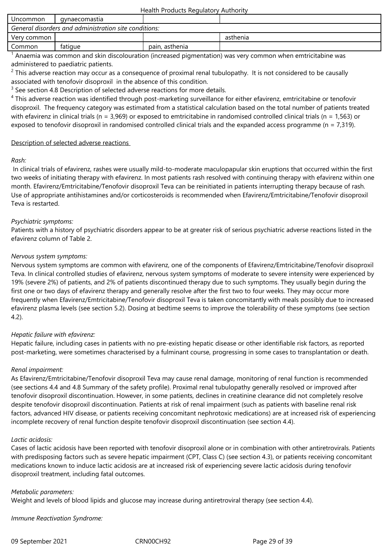| Uncommon                                              | gynaecomastia |                |          |  |  |
|-------------------------------------------------------|---------------|----------------|----------|--|--|
| General disorders and administration site conditions: |               |                |          |  |  |
| Very common                                           |               |                | asthenia |  |  |
| Common                                                | fatique       | pain, asthenia |          |  |  |

 $^1$  Anaemia was common and skin discolouration (increased pigmentation) was very common when emtricitabine was administered to paediatric patients.

 $2$  This adverse reaction may occur as a consequence of proximal renal tubulopathy. It is not considered to be causally associated with tenofovir disoproxil in the absence of this condition.

 $3$  See section 4.8 Description of selected adverse reactions for more details.

<sup>4</sup> This adverse reaction was identified through post-marketing surveillance for either efavirenz, emtricitabine or tenofovir disoproxil. The frequency category was estimated from a statistical calculation based on the total number of patients treated with efavirenz in clinical trials (n = 3,969) or exposed to emtricitabine in randomised controlled clinical trials (n = 1,563) or exposed to tenofovir disoproxil in randomised controlled clinical trials and the expanded access programme ( $n = 7,319$ ).

## Description of selected adverse reactions

*Rash:*

In clinical trials of efavirenz, rashes were usually mild-to-moderate maculopapular skin eruptions that occurred within the first two weeks of initiating therapy with efavirenz. In most patients rash resolved with continuing therapy with efavirenz within one month. Efavirenz/Emtricitabine/Tenofovir disoproxil Teva can be reinitiated in patients interrupting therapy because of rash. Use of appropriate antihistamines and/or corticosteroids is recommended when Efavirenz/Emtricitabine/Tenofovir disoproxil Teva is restarted.

## *Psychiatric symptoms:*

Patients with a history of psychiatric disorders appear to be at greater risk of serious psychiatric adverse reactions listed in the efavirenz column of Table 2.

## *Nervous system symptoms:*

Nervous system symptoms are common with efavirenz, one of the components of Efavirenz/Emtricitabine/Tenofovir disoproxil Teva. In clinical controlled studies of efavirenz, nervous system symptoms of moderate to severe intensity were experienced by 19% (severe 2%) of patients, and 2% of patients discontinued therapy due to such symptoms. They usually begin during the first one or two days of efavirenz therapy and generally resolve after the first two to four weeks. They may occur more frequently when Efavirenz/Emtricitabine/Tenofovir disoproxil Teva is taken concomitantly with meals possibly due to increased efavirenz plasma levels (see section 5.2). Dosing at bedtime seems to improve the tolerability of these symptoms (see section 4.2).

# *Hepatic failure with efavirenz:*

Hepatic failure, including cases in patients with no pre-existing hepatic disease or other identifiable risk factors, as reported post-marketing, were sometimes characterised by a fulminant course, progressing in some cases to transplantation or death.

# *Renal impairment:*

As Efavirenz/Emtricitabine/Tenofovir disoproxil Teva may cause renal damage, monitoring of renal function is recommended (see sections 4.4 and 4.8 Summary of the safety profile). Proximal renal tubulopathy generally resolved or improved after tenofovir disoproxil discontinuation. However, in some patients, declines in creatinine clearance did not completely resolve despite tenofovir disoproxil discontinuation. Patients at risk of renal impairment (such as patients with baseline renal risk factors, advanced HIV disease, or patients receiving concomitant nephrotoxic medications) are at increased risk of experiencing incomplete recovery of renal function despite tenofovir disoproxil discontinuation (see section 4.4).

## *Lactic acidosis:*

Cases of lactic acidosis have been reported with tenofovir disoproxil alone or in combination with other antiretrovirals. Patients with predisposing factors such as severe hepatic impairment (CPT, Class C) (see section 4.3), or patients receiving concomitant medications known to induce lactic acidosis are at increased risk of experiencing severe lactic acidosis during tenofovir disoproxil treatment, including fatal outcomes.

## *Metabolic parameters:*

Weight and levels of blood lipids and glucose may increase during antiretroviral therapy (see section 4.4).

*Immune Reactivation Syndrome:*

09 September 2021 CRN00CH92 Page 29 of 39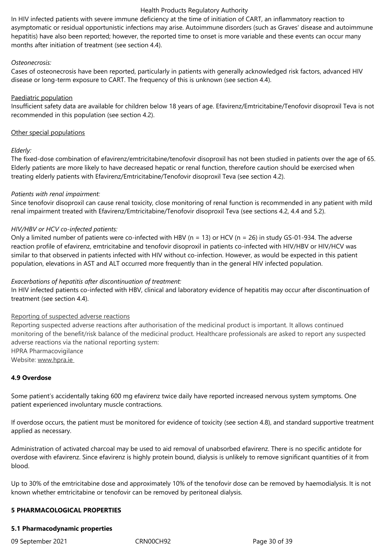In HIV infected patients with severe immune deficiency at the time of initiation of CART, an inflammatory reaction to asymptomatic or residual opportunistic infections may arise. Autoimmune disorders (such as Graves' disease and autoimmune hepatitis) have also been reported; however, the reported time to onset is more variable and these events can occur many months after initiation of treatment (see section 4.4).

## *Osteonecrosis:*

Cases of osteonecrosis have been reported, particularly in patients with generally acknowledged risk factors, advanced HIV disease or long-term exposure to CART. The frequency of this is unknown (see section 4.4).

#### Paediatric population

Insufficient safety data are available for children below 18 years of age. Efavirenz/Emtricitabine/Tenofovir disoproxil Teva is not recommended in this population (see section 4.2).

#### Other special populations

## *Elderly:*

The fixed-dose combination of efavirenz/emtricitabine/tenofovir disoproxil has not been studied in patients over the age of 65. Elderly patients are more likely to have decreased hepatic or renal function, therefore caution should be exercised when treating elderly patients with Efavirenz/Emtricitabine/Tenofovir disoproxil Teva (see section 4.2).

#### *Patients with renal impairment:*

Since tenofovir disoproxil can cause renal toxicity, close monitoring of renal function is recommended in any patient with mild renal impairment treated with Efavirenz/Emtricitabine/Tenofovir disoproxil Teva (see sections 4.2, 4.4 and 5.2).

#### *HIV/HBV or HCV co-infected patients:*

Only a limited number of patients were co-infected with HBV ( $n = 13$ ) or HCV ( $n = 26$ ) in study GS-01-934. The adverse reaction profile of efavirenz, emtricitabine and tenofovir disoproxil in patients co-infected with HIV/HBV or HIV/HCV was similar to that observed in patients infected with HIV without co-infection. However, as would be expected in this patient population, elevations in AST and ALT occurred more frequently than in the general HIV infected population.

## *Exacerbations of hepatitis after discontinuation of treatment:*

In HIV infected patients co-infected with HBV, clinical and laboratory evidence of hepatitis may occur after discontinuation of treatment (see section 4.4).

#### Reporting of suspected adverse reactions

Reporting suspected adverse reactions after authorisation of the medicinal product is important. It allows continued monitoring of the benefit/risk balance of the medicinal product. Healthcare professionals are asked to report any suspected adverse reactions via the national reporting system: HPRA Pharmacovigilance Website: www.hpra.ie

## **4.9 Overdose**

Some patient's accidentally taking 600 mg efavirenz twice daily have reported increased nervous system symptoms. One patient experienced involuntary muscle contractions.

If overdose occurs, the patient must be monitored for evidence of toxicity (see section 4.8), and standard supportive treatment applied as necessary.

Administration of activated charcoal may be used to aid removal of unabsorbed efavirenz. There is no specific antidote for overdose with efavirenz. Since efavirenz is highly protein bound, dialysis is unlikely to remove significant quantities of it from blood.

Up to 30% of the emtricitabine dose and approximately 10% of the tenofovir dose can be removed by haemodialysis. It is not known whether emtricitabine or tenofovir can be removed by peritoneal dialysis.

## **5 PHARMACOLOGICAL PROPERTIES**

## **5.1 Pharmacodynamic properties**

09 September 2021 CRN00CH92 Page 30 of 39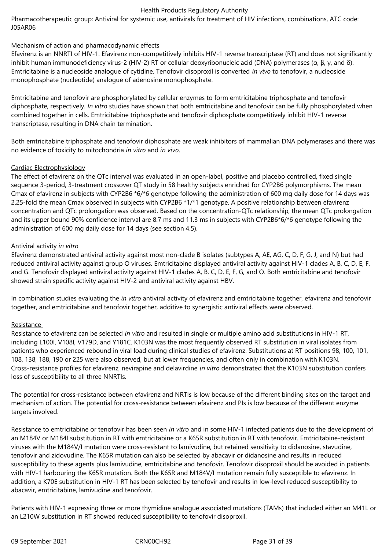Pharmacotherapeutic group: Antiviral for systemic use, antivirals for treatment of HIV infections, combinations, ATC code: J05AR06

# Mechanism of action and pharmacodynamic effects

Efavirenz is an NNRTI of HIV-1. Efavirenz non-competitively inhibits HIV-1 reverse transcriptase (RT) and does not significantly inhibit human immunodeficiency virus-2 (HIV-2) RT or cellular deoxyribonucleic acid (DNA) polymerases (α, β, γ, and δ). Emtricitabine is a nucleoside analogue of cytidine. Tenofovir disoproxil is converted *in vivo* to tenofovir, a nucleoside monophosphate (nucleotide) analogue of adenosine monophosphate.

Emtricitabine and tenofovir are phosphorylated by cellular enzymes to form emtricitabine triphosphate and tenofovir diphosphate, respectively. *In vitro* studies have shown that both emtricitabine and tenofovir can be fully phosphorylated when combined together in cells. Emtricitabine triphosphate and tenofovir diphosphate competitively inhibit HIV-1 reverse transcriptase, resulting in DNA chain termination.

Both emtricitabine triphosphate and tenofovir diphosphate are weak inhibitors of mammalian DNA polymerases and there was no evidence of toxicity to mitochondria *in vitro* and *in vivo*.

## Cardiac Electrophysiology

The effect of efavirenz on the QTc interval was evaluated in an open-label, positive and placebo controlled, fixed single sequence 3-period, 3-treatment crossover QT study in 58 healthy subjects enriched for CYP2B6 polymorphisms. The mean Cmax of efavirenz in subjects with CYP2B6 \*6/\*6 genotype following the administration of 600 mg daily dose for 14 days was 2.25-fold the mean Cmax observed in subjects with CYP2B6 \*1/\*1 genotype. A positive relationship between efavirenz concentration and QTc prolongation was observed. Based on the concentration-QTc relationship, the mean QTc prolongation and its upper bound 90% confidence interval are 8.7 ms and 11.3 ms in subjects with CYP2B6\*6/\*6 genotype following the administration of 600 mg daily dose for 14 days (see section 4.5).

## Antiviral activity *in vitro*

Efavirenz demonstrated antiviral activity against most non-clade B isolates (subtypes A, AE, AG, C, D, F, G, J, and N) but had reduced antiviral activity against group O viruses. Emtricitabine displayed antiviral activity against HIV-1 clades A, B, C, D, E, F, and G. Tenofovir displayed antiviral activity against HIV-1 clades A, B, C, D, E, F, G, and O. Both emtricitabine and tenofovir showed strain specific activity against HIV-2 and antiviral activity against HBV.

In combination studies evaluating the *in vitro* antiviral activity of efavirenz and emtricitabine together, efavirenz and tenofovir together, and emtricitabine and tenofovir together, additive to synergistic antiviral effects were observed.

# **Resistance**

Resistance to efavirenz can be selected *in vitro* and resulted in single or multiple amino acid substitutions in HIV-1 RT, including L100I, V108I, V179D, and Y181C. K103N was the most frequently observed RT substitution in viral isolates from patients who experienced rebound in viral load during clinical studies of efavirenz. Substitutions at RT positions 98, 100, 101, 108, 138, 188, 190 or 225 were also observed, but at lower frequencies, and often only in combination with K103N. Cross-resistance profiles for efavirenz, nevirapine and delavirdine *in vitro* demonstrated that the K103N substitution confers loss of susceptibility to all three NNRTIs.

The potential for cross-resistance between efavirenz and NRTIs is low because of the different binding sites on the target and mechanism of action. The potential for cross-resistance between efavirenz and PIs is low because of the different enzyme targets involved.

Resistance to emtricitabine or tenofovir has been seen *in vitro* and in some HIV-1 infected patients due to the development of an M184V or M184I substitution in RT with emtricitabine or a K65R substitution in RT with tenofovir. Emtricitabine-resistant viruses with the M184V/I mutation were cross-resistant to lamivudine, but retained sensitivity to didanosine, stavudine, tenofovir and zidovudine. The K65R mutation can also be selected by abacavir or didanosine and results in reduced susceptibility to these agents plus lamivudine, emtricitabine and tenofovir. Tenofovir disoproxil should be avoided in patients with HIV-1 harbouring the K65R mutation. Both the K65R and M184V/I mutation remain fully susceptible to efavirenz. In addition, a K70E substitution in HIV-1 RT has been selected by tenofovir and results in low-level reduced susceptibility to abacavir, emtricitabine, lamivudine and tenofovir.

Patients with HIV-1 expressing three or more thymidine analogue associated mutations (TAMs) that included either an M41L or an L210W substitution in RT showed reduced susceptibility to tenofovir disoproxil.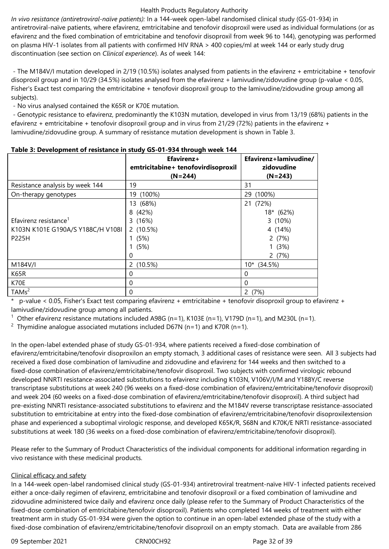*In vivo resistance (antiretroviral-naïve patients):* In a 144-week open-label randomised clinical study (GS-01-934) in antiretroviral-naïve patients, where efavirenz, emtricitabine and tenofovir disoproxil were used as individual formulations (or as efavirenz and the fixed combination of emtricitabine and tenofovir disoproxil from week 96 to 144), genotyping was performed on plasma HIV-1 isolates from all patients with confirmed HIV RNA > 400 copies/ml at week 144 or early study drug discontinuation (see section on *Clinical experience*). As of week 144:

 - The M184V/I mutation developed in 2/19 (10.5%) isolates analysed from patients in the efavirenz + emtricitabine + tenofovir disoproxil group and in 10/29 (34.5%) isolates analysed from the efavirenz + lamivudine/zidovudine group (p-value < 0.05, Fisher's Exact test comparing the emtricitabine + tenofovir disoproxil group to the lamivudine/zidovudine group among all subjects).

- No virus analysed contained the K65R or K70E mutation.

 - Genotypic resistance to efavirenz, predominantly the K103N mutation, developed in virus from 13/19 (68%) patients in the efavirenz + emtricitabine + tenofovir disoproxil group and in virus from 21/29 (72%) patients in the efavirenz + lamivudine/zidovudine group. A summary of resistance mutation development is shown in Table 3.

|                                   | Efavirenz+<br>emtricitabine+ tenofovirdisoproxil<br>$(N=244)$ | Efavirenz+lamivudine/<br>zidovudine<br>$(N=243)$ |
|-----------------------------------|---------------------------------------------------------------|--------------------------------------------------|
| Resistance analysis by week 144   | 19                                                            | 31                                               |
| On-therapy genotypes              | $(100\%)$<br>19                                               | $(100\%)$<br>29                                  |
|                                   | 13 (68%)                                                      | 21 (72%)                                         |
|                                   | 8 (42%)                                                       | 18* (62%)                                        |
| Efavirenz resistance <sup>1</sup> | 3(16%)                                                        | 3 (10%)                                          |
| K103N K101E G190A/S Y188C/H V108I | 2(10.5%)                                                      | 4 (14%)                                          |
| P225H                             | (5%)                                                          | 2(7%)                                            |
|                                   | (5%)                                                          | 1(3%)                                            |
|                                   | 0                                                             | 2(7%)                                            |
| M184V/I                           | (10.5%)<br>$\mathsf{2}^{\mathsf{2}}$                          | $10*(34.5%)$                                     |
| K65R                              | $\Omega$                                                      | 0                                                |
| K70E                              | 0                                                             | $\Omega$                                         |
| TAMs <sup>2</sup>                 | 0                                                             | 2(7%)                                            |

|  | Table 3: Development of resistance in study GS-01-934 through week 144 |  |  |  |
|--|------------------------------------------------------------------------|--|--|--|
|--|------------------------------------------------------------------------|--|--|--|

\* p-value < 0.05, Fisher's Exact test comparing efavirenz + emtricitabine + tenofovir disoproxil group to efavirenz + lamivudine/zidovudine group among all patients.

 $1$  Other efavirenz resistance mutations included A98G (n=1), K103E (n=1), V179D (n=1), and M230L (n=1).

<sup>2</sup> Thymidine analogue associated mutations included D67N (n=1) and K70R (n=1).

In the open-label extended phase of study GS-01-934, where patients received a fixed-dose combination of efavirenz/emtricitabine/tenofovir disoproxilon an empty stomach, 3 additional cases of resistance were seen. All 3 subjects had received a fixed dose combination of lamivudine and zidovudine and efavirenz for 144 weeks and then switched to a fixed-dose combination of efavirenz/emtricitabine/tenofovir disoproxil. Two subjects with confirmed virologic rebound developed NNRTI resistance-associated substitutions to efavirenz including K103N, V106V/I/M and Y188Y/C reverse transcriptase substitutions at week 240 (96 weeks on a fixed-dose combination of efavirenz/emtricitabine/tenofovir disoproxil) and week 204 (60 weeks on a fixed-dose combination of efavirenz/emtricitabine/tenofovir disoproxil). A third subject had pre-existing NNRTI resistance-associated substitutions to efavirenz and the M184V reverse transcriptase resistance-associated substitution to emtricitabine at entry into the fixed-dose combination of efavirenz/emtricitabine/tenofovir disoproxilextension phase and experienced a suboptimal virologic response, and developed K65K/R, S68N and K70K/E NRTI resistance-associated substitutions at week 180 (36 weeks on a fixed-dose combination of efavirenz/emtricitabine/tenofovir disoproxil).

Please refer to the Summary of Product Characteristics of the individual components for additional information regarding in vivo resistance with these medicinal products.

# Clinical efficacy and safety

In a 144-week open-label randomised clinical study (GS-01-934) antiretroviral treatment-naïve HIV-1 infected patients received either a once-daily regimen of efavirenz, emtricitabine and tenofovir disoproxil or a fixed combination of lamivudine and zidovudine administered twice daily and efavirenz once daily (please refer to the Summary of Product Characteristics of the fixed-dose combination of emtricitabine/tenofovir disoproxil). Patients who completed 144 weeks of treatment with either treatment arm in study GS-01-934 were given the option to continue in an open-label extended phase of the study with a fixed-dose combination of efavirenz/emtricitabine/tenofovir disoproxil on an empty stomach. Data are available from 286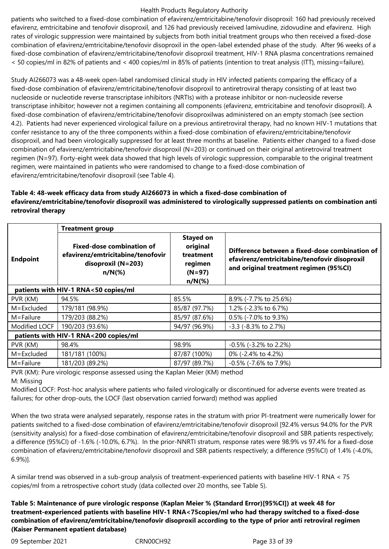patients who switched to a fixed-dose combination of efavirenz/emtricitabine/tenofovir disoproxil: 160 had previously received efavirenz, emtricitabine and tenofovir disoproxil, and 126 had previously received lamivudine, zidovudine and efavirenz. High rates of virologic suppression were maintained by subjects from both initial treatment groups who then received a fixed-dose combination of efavirenz/emtricitabine/tenofovir disoproxil in the open-label extended phase of the study. After 96 weeks of a fixed-dose combination of efavirenz/emtricitabine/tenofovir disoproxil treatment, HIV-1 RNA plasma concentrations remained < 50 copies/ml in 82% of patients and < 400 copies/ml in 85% of patients (intention to treat analysis (ITT), missing=failure).

Study AI266073 was a 48-week open-label randomised clinical study in HIV infected patients comparing the efficacy of a fixed-dose combination of efavirenz/emtricitabine/tenofovir disoproxil to antiretroviral therapy consisting of at least two nucleoside or nucleotide reverse transcriptase inhibitors (NRTIs) with a protease inhibitor or non-nucleoside reverse transcriptase inhibitor; however not a regimen containing all components (efavirenz, emtricitabine and tenofovir disoproxil). A fixed-dose combination of efavirenz/emtricitabine/tenofovir disoproxilwas administered on an empty stomach (see section 4.2). Patients had never experienced virological failure on a previous antiretroviral therapy, had no known HIV-1 mutations that confer resistance to any of the three components within a fixed-dose combination of efavirenz/emtricitabine/tenofovir disoproxil, and had been virologically suppressed for at least three months at baseline. Patients either changed to a fixed-dose combination of efavirenz/emtricitabine/tenofovir disoproxil (N=203) or continued on their original antiretroviral treatment regimen (N=97). Forty-eight week data showed that high levels of virologic suppression, comparable to the original treatment regimen, were maintained in patients who were randomised to change to a fixed-dose combination of efavirenz/emtricitabine/tenofovir disoproxil (see Table 4).

# **Table 4: 48-week efficacy data from study AI266073 in which a fixed-dose combination of efavirenz/emtricitabine/tenofovir disoproxil was administered to virologically suppressed patients on combination anti retroviral therapy**

|                                       | <b>Treatment group</b>                                                                                     |                                                                               |                                                                                                                                          |  |  |  |  |
|---------------------------------------|------------------------------------------------------------------------------------------------------------|-------------------------------------------------------------------------------|------------------------------------------------------------------------------------------------------------------------------------------|--|--|--|--|
| <b>Endpoint</b>                       | <b>Fixed-dose combination of</b><br>efavirenz/emtricitabine/tenofovir<br>disoproxil $(N=203)$<br>$n/N(\%)$ | <b>Stayed on</b><br>original<br>treatment<br>regimen<br>$(N=97)$<br>$n/N$ (%) | Difference between a fixed-dose combination of<br>efavirenz/emtricitabine/tenofovir disoproxil<br>and original treatment regimen (95%CI) |  |  |  |  |
| patients with HIV-1 RNA<50 copies/ml  |                                                                                                            |                                                                               |                                                                                                                                          |  |  |  |  |
| PVR (KM)                              | 94.5%                                                                                                      | 85.5%                                                                         | 8.9% (-7.7% to 25.6%)                                                                                                                    |  |  |  |  |
| M=Excluded                            | 179/181 (98.9%)                                                                                            | 85/87 (97.7%)                                                                 | 1.2% (-2.3% to 6.7%)                                                                                                                     |  |  |  |  |
| $M =$ Failure                         | 179/203 (88.2%)                                                                                            | 85/97 (87.6%)                                                                 | 0.5% (-7.0% to 9.3%)                                                                                                                     |  |  |  |  |
| Modified LOCF                         | 190/203 (93.6%)                                                                                            | 94/97 (96.9%)                                                                 | $-3.3$ ( $-8.3\%$ to 2.7%)                                                                                                               |  |  |  |  |
| patients with HIV-1 RNA<200 copies/ml |                                                                                                            |                                                                               |                                                                                                                                          |  |  |  |  |
| PVR (KM)                              | 98.4%                                                                                                      | 98.9%                                                                         | $-0.5\%$ ( $-3.2\%$ to 2.2%)                                                                                                             |  |  |  |  |
| M=Excluded                            | 181/181 (100%)                                                                                             | 87/87 (100%)                                                                  | 0% (-2.4% to 4.2%)                                                                                                                       |  |  |  |  |
| M=Failure                             | 181/203 (89.2%)                                                                                            | 87/97 (89.7%)                                                                 | -0.5% (-7.6% to 7.9%)                                                                                                                    |  |  |  |  |

PVR (KM): Pure virologic response assessed using the Kaplan Meier (KM) method M: Missing

Modified LOCF: Post-hoc analysis where patients who failed virologically or discontinued for adverse events were treated as failures; for other drop-outs, the LOCF (last observation carried forward) method was applied

When the two strata were analysed separately, response rates in the stratum with prior PI-treatment were numerically lower for patients switched to a fixed-dose combination of efavirenz/emtricitabine/tenofovir disoproxil [92.4% versus 94.0% for the PVR (sensitivity analysis) for a fixed-dose combination of efavirenz/emtricitabine/tenofovir disoproxil and SBR patients respectively; a difference (95%CI) of -1.6% (-10.0%, 6.7%). In the prior-NNRTI stratum, response rates were 98.9% vs 97.4% for a fixed-dose combination of efavirenz/emtricitabine/tenofovir disoproxil and SBR patients respectively; a difference (95%CI) of 1.4% (-4.0%, 6.9%)].

A similar trend was observed in a sub-group analysis of treatment-experienced patients with baseline HIV-1 RNA < 75 copies/ml from a retrospective cohort study (data collected over 20 months, see Table 5).

**Table 5: Maintenance of pure virologic response (Kaplan Meier % (Standard Error)[95%CI]) at week 48 for treatment-experienced patients with baseline HIV-1 RNA<75copies/ml who had therapy switched to a fixed-dose combination of efavirenz/emtricitabine/tenofovir disoproxil according to the type of prior anti retroviral regimen (Kaiser Permanent epatient database)**

09 September 2021 CRN00CH92 Page 33 of 39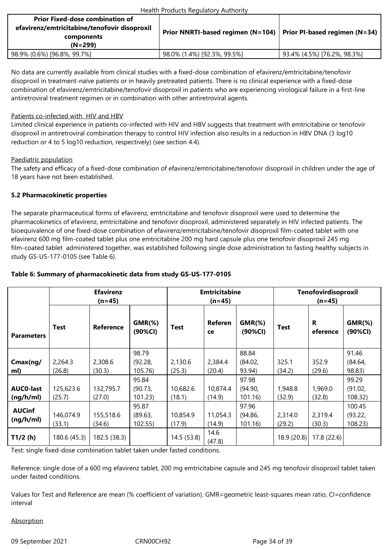| <b>Prior Fixed-dose combination of</b><br>efavirenz/emtricitabine/tenofovir disoproxil<br>components<br>(N=299) | Prior NNRTI-based regimen (N=104)   Prior PI-based regimen (N=34) |                             |
|-----------------------------------------------------------------------------------------------------------------|-------------------------------------------------------------------|-----------------------------|
| 98.9% (0.6%) [96.8%, 99.7%]                                                                                     | 98.0% (1.4%) [92.3%, 99.5%]                                       | 93.4% (4.5%) [76.2%, 98.3%] |

No data are currently available from clinical studies with a fixed-dose combination of efavirenz/emtricitabine/tenofovir disoproxil in treatment-naïve patients or in heavily pretreated patients. There is no clinical experience with a fixed-dose combination of efavirenz/emtricitabine/tenofovir disoproxil in patients who are experiencing virological failure in a first-line antiretroviral treatment regimen or in combination with other antiretroviral agents.

## Patients co-infected with HIV and HBV

Limited clinical experience in patients co-infected with HIV and HBV suggests that treatment with emtricitabine or tenofovir disoproxil in antiretroviral combination therapy to control HIV infection also results in a reduction in HBV DNA (3 log10 reduction or 4 to 5 log10 reduction, respectively) (see section 4.4).

## Paediatric population

The safety and efficacy of a fixed-dose combination of efavirenz/emtricitabine/tenofovir disoproxil in children under the age of 18 years have not been established.

# **5.2 Pharmacokinetic properties**

The separate pharmaceutical forms of efavirenz, emtricitabine and tenofovir disoproxil were used to determine the pharmacokinetics of efavirenz, emtricitabine and tenofovir disoproxil, administered separately in HIV infected patients. The bioequivalence of one fixed-dose combination of efavirenz/emtricitabine/tenofovir disoproxil film-coated tablet with one efavirenz 600 mg film-coated tablet plus one emtricitabine 200 mg hard capsule plus one tenofovir disoproxil 245 mg film-coated tablet administered together, was established following single dose administration to fasting healthy subjects in study GS-US-177-0105 (see Table 6).

| Table 6: Summary of pharmacokinetic data from study GS-US-177-0105 |
|--------------------------------------------------------------------|
|--------------------------------------------------------------------|

|                               | <b>Efavirenz</b><br>$(n=45)$ |                     |                             | <b>Emtricitabine</b><br>$(n=45)$ |                      |                            | Tenofovirdisoproxil<br>$(n=45)$ |                   |                             |
|-------------------------------|------------------------------|---------------------|-----------------------------|----------------------------------|----------------------|----------------------------|---------------------------------|-------------------|-----------------------------|
| <b>Parameters</b>             | <b>Test</b>                  | <b>Reference</b>    | $GMR$ (%)<br>(90%CI)        | <b>Test</b>                      | <b>Referen</b><br>ce | $GMR$ (%)<br>(90%CI)       | <b>Test</b>                     | R<br>eference     | $GMR$ (%)<br>(90%CI)        |
| Cmax(ng/<br>ml)               | 2,264.3<br>(26.8)            | 2,308.6<br>(30.3)   | 98.79<br>(92.28,<br>105.76) | 2,130.6<br>(25.3)                | 2,384.4<br>(20.4)    | 88.84<br>(84.02,<br>93.94) | 325.1<br>(34.2)                 | 352.9<br>(29.6)   | 91.46<br>(84.64,<br>98.83)  |
| <b>AUCO-last</b><br>(ng/h/ml) | 125,623.6<br>(25.7)          | 132,795.7<br>(27.0) | 95.84<br>(90.73,<br>101.23  | 10,682.6<br>(18.1)               | 10,874.4<br>(14.9)   | 97.98<br>(94.90,<br>101.16 | 1,948.8<br>(32.9)               | 1,969.0<br>(32.8) | 99.29<br>(91.02,<br>108.32) |
| <b>AUCinf</b><br>(ng/h/ml)    | 146,074.9<br>(33.1)          | 155,518.6<br>(34.6) | 95.87<br>(89.63,<br>102.55  | 10,854.9<br>(17.9)               | 11,054.3<br>(14.9)   | 97.96<br>(94.86,<br>101.16 | 2,314.0<br>(29.2)               | 2,319.4<br>(30.3) | 100.45<br>(93.22,<br>108.23 |
| T1/2(h)                       | 180.6 (45.3)                 | 182.5 (38.3)        |                             | 14.5 (53.8)                      | 14.6<br>(47.8)       |                            | 18.9 (20.8)                     | 17.8(22.6)        |                             |

Test: single fixed-dose combination tablet taken under fasted conditions.

Reference: single dose of a 600 mg efavirenz tablet, 200 mg emtricitabine capsule and 245 mg tenofovir disoproxil tablet taken under fasted conditions.

Values for Test and Reference are mean (% coefficient of variation). GMR=geometric least-squares mean ratio, CI=confidence interval

## **Absorption**

09 September 2021 CRN00CH92 Page 34 of 39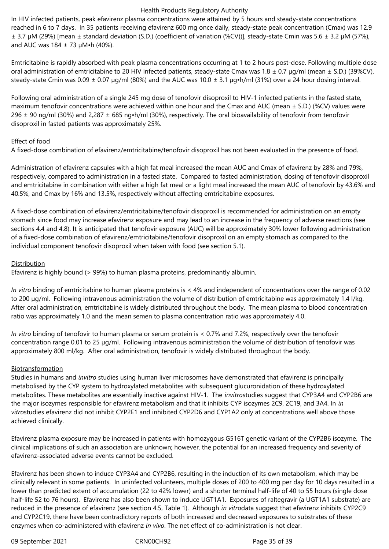In HIV infected patients, peak efavirenz plasma concentrations were attained by 5 hours and steady-state concentrations reached in 6 to 7 days. In 35 patients receiving efavirenz 600 mg once daily, steady-state peak concentration (Cmax) was 12.9 ± 3.7 µM (29%) [mean ± standard deviation (S.D.) (coefficient of variation (%CV))], steady-state Cmin was 5.6 ± 3.2 µM (57%), and AUC was  $184 \pm 73$  µM•h (40%).

Emtricitabine is rapidly absorbed with peak plasma concentrations occurring at 1 to 2 hours post-dose. Following multiple dose oral administration of emtricitabine to 20 HIV infected patients, steady-state Cmax was  $1.8 \pm 0.7$  µg/ml (mean  $\pm$  S.D.) (39%CV), steady-state Cmin was  $0.09 \pm 0.07$  µg/ml (80%) and the AUC was  $10.0 \pm 3.1$  µg•h/ml (31%) over a 24 hour dosing interval.

Following oral administration of a single 245 mg dose of tenofovir disoproxil to HIV-1 infected patients in the fasted state, maximum tenofovir concentrations were achieved within one hour and the Cmax and AUC (mean  $\pm$  S.D.) (%CV) values were 296  $\pm$  90 ng/ml (30%) and 2,287  $\pm$  685 ng•h/ml (30%), respectively. The oral bioavailability of tenofovir from tenofovir disoproxil in fasted patients was approximately 25%.

## Effect of food

A fixed-dose combination of efavirenz/emtricitabine/tenofovir disoproxil has not been evaluated in the presence of food.

Administration of efavirenz capsules with a high fat meal increased the mean AUC and Cmax of efavirenz by 28% and 79%, respectively, compared to administration in a fasted state. Compared to fasted administration, dosing of tenofovir disoproxil and emtricitabine in combination with either a high fat meal or a light meal increased the mean AUC of tenofovir by 43.6% and 40.5%, and Cmax by 16% and 13.5%, respectively without affecting emtricitabine exposures.

A fixed-dose combination of efavirenz/emtricitabine/tenofovir disoproxil is recommended for administration on an empty stomach since food may increase efavirenz exposure and may lead to an increase in the frequency of adverse reactions (see sections 4.4 and 4.8). It is anticipated that tenofovir exposure (AUC) will be approximately 30% lower following administration of a fixed-dose combination of efavirenz/emtricitabine/tenofovir disoproxil on an empty stomach as compared to the individual component tenofovir disoproxil when taken with food (see section 5.1).

## Distribution

Efavirenz is highly bound (> 99%) to human plasma proteins, predominantly albumin.

*In vitro* binding of emtricitabine to human plasma proteins is < 4% and independent of concentrations over the range of 0.02 to 200 µg/ml. Following intravenous administration the volume of distribution of emtricitabine was approximately 1.4 l/kg. After oral administration, emtricitabine is widely distributed throughout the body. The mean plasma to blood concentration ratio was approximately 1.0 and the mean semen to plasma concentration ratio was approximately 4.0.

*In vitro* binding of tenofovir to human plasma or serum protein is < 0.7% and 7.2%, respectively over the tenofovir concentration range 0.01 to 25 µg/ml. Following intravenous administration the volume of distribution of tenofovir was approximately 800 ml/kg. After oral administration, tenofovir is widely distributed throughout the body.

# Biotransformation

Studies in humans and *invitro* studies using human liver microsomes have demonstrated that efavirenz is principally metabolised by the CYP system to hydroxylated metabolites with subsequent glucuronidation of these hydroxylated metabolites. These metabolites are essentially inactive against HIV-1. The *invitro*studies suggest that CYP3A4 and CYP2B6 are the major isozymes responsible for efavirenz metabolism and that it inhibits CYP isozymes 2C9, 2C19, and 3A4. In *in vitro*studies efavirenz did not inhibit CYP2E1 and inhibited CYP2D6 and CYP1A2 only at concentrations well above those achieved clinically.

Efavirenz plasma exposure may be increased in patients with homozygous G516T genetic variant of the CYP2B6 isozyme. The clinical implications of such an association are unknown; however, the potential for an increased frequency and severity of efavirenz-associated adverse events cannot be excluded.

Efavirenz has been shown to induce CYP3A4 and CYP2B6, resulting in the induction of its own metabolism, which may be clinically relevant in some patients. In uninfected volunteers, multiple doses of 200 to 400 mg per day for 10 days resulted in a lower than predicted extent of accumulation (22 to 42% lower) and a shorter terminal half-life of 40 to 55 hours (single dose half-life 52 to 76 hours). Efavirenz has also been shown to induce UGT1A1. Exposures of raltegravir (a UGT1A1 substrate) are reduced in the presence of efavirenz (see section 4.5, Table 1). Although *in vitro*data suggest that efavirenz inhibits CYP2C9 and CYP2C19, there have been contradictory reports of both increased and decreased exposures to substrates of these enzymes when co-administered with efavirenz *in vivo*. The net effect of co-administration is not clear.

09 September 2021 CRN00CH92 Page 35 of 39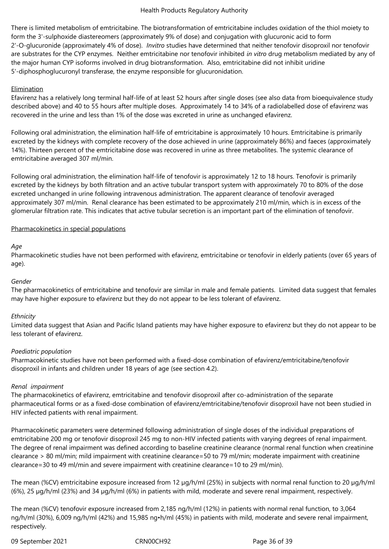There is limited metabolism of emtricitabine. The biotransformation of emtricitabine includes oxidation of the thiol moiety to form the 3'-sulphoxide diastereomers (approximately 9% of dose) and conjugation with glucuronic acid to form 2'-O-glucuronide (approximately 4% of dose). *Invitro* studies have determined that neither tenofovir disoproxil nor tenofovir are substrates for the CYP enzymes. Neither emtricitabine nor tenofovir inhibited *in vitro* drug metabolism mediated by any of the major human CYP isoforms involved in drug biotransformation. Also, emtricitabine did not inhibit uridine 5'-diphosphoglucuronyl transferase, the enzyme responsible for glucuronidation.

## Elimination

Efavirenz has a relatively long terminal half-life of at least 52 hours after single doses (see also data from bioequivalence study described above) and 40 to 55 hours after multiple doses. Approximately 14 to 34% of a radiolabelled dose of efavirenz was recovered in the urine and less than 1% of the dose was excreted in urine as unchanged efavirenz.

Following oral administration, the elimination half-life of emtricitabine is approximately 10 hours. Emtricitabine is primarily excreted by the kidneys with complete recovery of the dose achieved in urine (approximately 86%) and faeces (approximately 14%). Thirteen percent of the emtricitabine dose was recovered in urine as three metabolites. The systemic clearance of emtricitabine averaged 307 ml/min.

Following oral administration, the elimination half-life of tenofovir is approximately 12 to 18 hours. Tenofovir is primarily excreted by the kidneys by both filtration and an active tubular transport system with approximately 70 to 80% of the dose excreted unchanged in urine following intravenous administration. The apparent clearance of tenofovir averaged approximately 307 ml/min. Renal clearance has been estimated to be approximately 210 ml/min, which is in excess of the glomerular filtration rate. This indicates that active tubular secretion is an important part of the elimination of tenofovir.

## Pharmacokinetics in special populations

## *Age*

Pharmacokinetic studies have not been performed with efavirenz, emtricitabine or tenofovir in elderly patients (over 65 years of age).

## *Gender*

The pharmacokinetics of emtricitabine and tenofovir are similar in male and female patients. Limited data suggest that females may have higher exposure to efavirenz but they do not appear to be less tolerant of efavirenz.

## *Ethnicity*

Limited data suggest that Asian and Pacific Island patients may have higher exposure to efavirenz but they do not appear to be less tolerant of efavirenz.

## *Paediatric population*

Pharmacokinetic studies have not been performed with a fixed-dose combination of efavirenz/emtricitabine/tenofovir disoproxil in infants and children under 18 years of age (see section 4.2).

## *Renal impairment*

The pharmacokinetics of efavirenz, emtricitabine and tenofovir disoproxil after co-administration of the separate pharmaceutical forms or as a fixed-dose combination of efavirenz/emtricitabine/tenofovir disoproxil have not been studied in HIV infected patients with renal impairment.

Pharmacokinetic parameters were determined following administration of single doses of the individual preparations of emtricitabine 200 mg or tenofovir disoproxil 245 mg to non-HIV infected patients with varying degrees of renal impairment. The degree of renal impairment was defined according to baseline creatinine clearance (normal renal function when creatinine clearance > 80 ml/min; mild impairment with creatinine clearance=50 to 79 ml/min; moderate impairment with creatinine clearance=30 to 49 ml/min and severe impairment with creatinine clearance=10 to 29 ml/min).

The mean (%CV) emtricitabine exposure increased from 12 µg/h/ml (25%) in subjects with normal renal function to 20 µg/h/ml (6%), 25 µg/h/ml (23%) and 34 µg/h/ml (6%) in patients with mild, moderate and severe renal impairment, respectively.

The mean (%CV) tenofovir exposure increased from 2,185 ng/h/ml (12%) in patients with normal renal function, to 3,064 ng/h/ml (30%), 6,009 ng/h/ml (42%) and 15,985 ng•h/ml (45%) in patients with mild, moderate and severe renal impairment, respectively.

09 September 2021 CRN00CH92 Page 36 of 39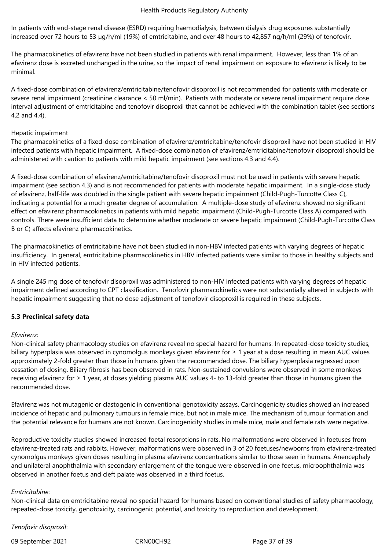In patients with end-stage renal disease (ESRD) requiring haemodialysis, between dialysis drug exposures substantially increased over 72 hours to 53 µg/h/ml (19%) of emtricitabine, and over 48 hours to 42,857 ng/h/ml (29%) of tenofovir.

The pharmacokinetics of efavirenz have not been studied in patients with renal impairment. However, less than 1% of an efavirenz dose is excreted unchanged in the urine, so the impact of renal impairment on exposure to efavirenz is likely to be minimal.

A fixed-dose combination of efavirenz/emtricitabine/tenofovir disoproxil is not recommended for patients with moderate or severe renal impairment (creatinine clearance < 50 ml/min). Patients with moderate or severe renal impairment require dose interval adjustment of emtricitabine and tenofovir disoproxil that cannot be achieved with the combination tablet (see sections 4.2 and 4.4).

#### Hepatic impairment

The pharmacokinetics of a fixed-dose combination of efavirenz/emtricitabine/tenofovir disoproxil have not been studied in HIV infected patients with hepatic impairment. A fixed-dose combination of efavirenz/emtricitabine/tenofovir disoproxil should be administered with caution to patients with mild hepatic impairment (see sections 4.3 and 4.4).

A fixed-dose combination of efavirenz/emtricitabine/tenofovir disoproxil must not be used in patients with severe hepatic impairment (see section 4.3) and is not recommended for patients with moderate hepatic impairment. In a single-dose study of efavirenz, half-life was doubled in the single patient with severe hepatic impairment (Child-Pugh-Turcotte Class C), indicating a potential for a much greater degree of accumulation. A multiple-dose study of efavirenz showed no significant effect on efavirenz pharmacokinetics in patients with mild hepatic impairment (Child-Pugh-Turcotte Class A) compared with controls. There were insufficient data to determine whether moderate or severe hepatic impairment (Child-Pugh-Turcotte Class B or C) affects efavirenz pharmacokinetics.

The pharmacokinetics of emtricitabine have not been studied in non-HBV infected patients with varying degrees of hepatic insufficiency. In general, emtricitabine pharmacokinetics in HBV infected patients were similar to those in healthy subjects and in HIV infected patients.

A single 245 mg dose of tenofovir disoproxil was administered to non-HIV infected patients with varying degrees of hepatic impairment defined according to CPT classification. Tenofovir pharmacokinetics were not substantially altered in subjects with hepatic impairment suggesting that no dose adjustment of tenofovir disoproxil is required in these subjects.

## **5.3 Preclinical safety data**

#### *Efavirenz*:

Non-clinical safety pharmacology studies on efavirenz reveal no special hazard for humans. In repeated-dose toxicity studies, biliary hyperplasia was observed in cynomolgus monkeys given efavirenz for ≥ 1 year at a dose resulting in mean AUC values approximately 2-fold greater than those in humans given the recommended dose. The biliary hyperplasia regressed upon cessation of dosing. Biliary fibrosis has been observed in rats. Non-sustained convulsions were observed in some monkeys receiving efavirenz for ≥ 1 year, at doses yielding plasma AUC values 4- to 13-fold greater than those in humans given the recommended dose.

Efavirenz was not mutagenic or clastogenic in conventional genotoxicity assays. Carcinogenicity studies showed an increased incidence of hepatic and pulmonary tumours in female mice, but not in male mice. The mechanism of tumour formation and the potential relevance for humans are not known. Carcinogenicity studies in male mice, male and female rats were negative.

Reproductive toxicity studies showed increased foetal resorptions in rats. No malformations were observed in foetuses from efavirenz-treated rats and rabbits. However, malformations were observed in 3 of 20 foetuses/newborns from efavirenz-treated cynomolgus monkeys given doses resulting in plasma efavirenz concentrations similar to those seen in humans. Anencephaly and unilateral anophthalmia with secondary enlargement of the tongue were observed in one foetus, microophthalmia was observed in another foetus and cleft palate was observed in a third foetus.

#### *Emtricitabine*:

Non-clinical data on emtricitabine reveal no special hazard for humans based on conventional studies of safety pharmacology, repeated-dose toxicity, genotoxicity, carcinogenic potential, and toxicity to reproduction and development.

*Tenofovir disoproxil*:

09 September 2021 CRN00CH92 Page 37 of 39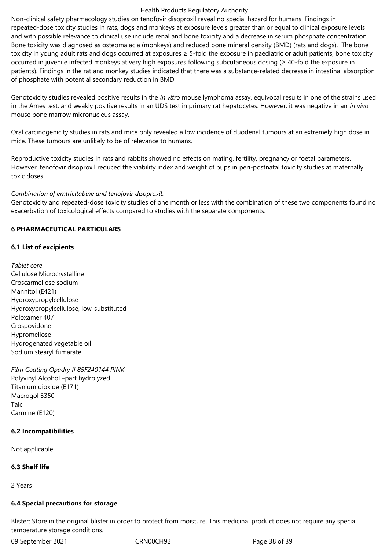Non-clinical safety pharmacology studies on tenofovir disoproxil reveal no special hazard for humans. Findings in repeated-dose toxicity studies in rats, dogs and monkeys at exposure levels greater than or equal to clinical exposure levels and with possible relevance to clinical use include renal and bone toxicity and a decrease in serum phosphate concentration. Bone toxicity was diagnosed as osteomalacia (monkeys) and reduced bone mineral density (BMD) (rats and dogs). The bone toxicity in young adult rats and dogs occurred at exposures ≥ 5-fold the exposure in paediatric or adult patients; bone toxicity occurred in juvenile infected monkeys at very high exposures following subcutaneous dosing (≥ 40-fold the exposure in patients). Findings in the rat and monkey studies indicated that there was a substance-related decrease in intestinal absorption of phosphate with potential secondary reduction in BMD.

Genotoxicity studies revealed positive results in the *in vitro* mouse lymphoma assay, equivocal results in one of the strains used in the Ames test, and weakly positive results in an UDS test in primary rat hepatocytes. However, it was negative in an *in vivo*  mouse bone marrow micronucleus assay.

Oral carcinogenicity studies in rats and mice only revealed a low incidence of duodenal tumours at an extremely high dose in mice. These tumours are unlikely to be of relevance to humans.

Reproductive toxicity studies in rats and rabbits showed no effects on mating, fertility, pregnancy or foetal parameters. However, tenofovir disoproxil reduced the viability index and weight of pups in peri-postnatal toxicity studies at maternally toxic doses.

## *Combination of emtricitabine and tenofovir disoproxil*:

Genotoxicity and repeated-dose toxicity studies of one month or less with the combination of these two components found no exacerbation of toxicological effects compared to studies with the separate components.

# **6 PHARMACEUTICAL PARTICULARS**

## **6.1 List of excipients**

*Tablet core* Cellulose Microcrystalline Croscarmellose sodium Mannitol (E421) Hydroxypropylcellulose Hydroxypropylcellulose, low-substituted Poloxamer 407 Crospovidone Hypromellose Hydrogenated vegetable oil Sodium stearyl fumarate

*Film Coating Opadry II 85F240144 PINK* Polyvinyl Alcohol –part hydrolyzed Titanium dioxide (E171) Macrogol 3350 Talc Carmine (E120)

## **6.2 Incompatibilities**

Not applicable.

# **6.3 Shelf life**

2 Years

# **6.4 Special precautions for storage**

Blister: Store in the original blister in order to protect from moisture. This medicinal product does not require any special temperature storage conditions.

09 September 2021 CRN00CH92 Page 38 of 39